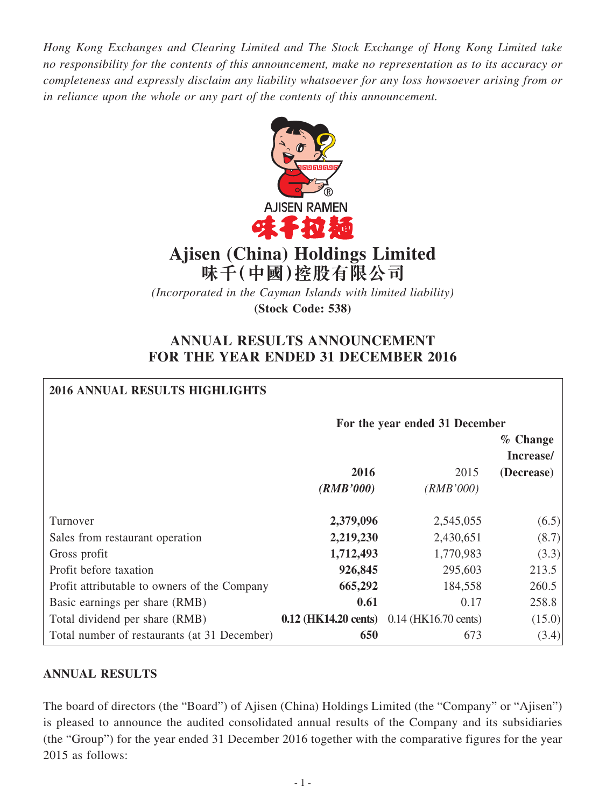*Hong Kong Exchanges and Clearing Limited and The Stock Exchange of Hong Kong Limited take no responsibility for the contents of this announcement, make no representation as to its accuracy or completeness and expressly disclaim any liability whatsoever for any loss howsoever arising from or in reliance upon the whole or any part of the contents of this announcement.*



# **Ajisen (China) Holdings Limited 味千(中國)控股有限公司**

*(Incorporated in the Cayman Islands with limited liability)* **(Stock Code: 538)**

## **ANNUAL RESULTS ANNOUNCEMENT FOR THE YEAR ENDED 31 DECEMBER 2016**

## **2016 ANNUAL RESULTS HIGHLIGHTS**

|                                              | For the year ended 31 December                   |           |                         |  |  |
|----------------------------------------------|--------------------------------------------------|-----------|-------------------------|--|--|
|                                              |                                                  |           | $%$ Change<br>Increase/ |  |  |
|                                              | 2016                                             | 2015      | (Decrease)              |  |  |
|                                              | (RMB'000)                                        | (RMB'000) |                         |  |  |
|                                              |                                                  |           |                         |  |  |
| Turnover                                     | 2,379,096                                        | 2,545,055 | (6.5)                   |  |  |
| Sales from restaurant operation              | 2,219,230                                        | 2,430,651 | (8.7)                   |  |  |
| Gross profit                                 | 1,712,493                                        | 1,770,983 | (3.3)                   |  |  |
| Profit before taxation                       | 926,845                                          | 295,603   | 213.5                   |  |  |
| Profit attributable to owners of the Company | 665,292                                          | 184,558   | 260.5                   |  |  |
| Basic earnings per share (RMB)               | 0.61                                             | 0.17      | 258.8                   |  |  |
| Total dividend per share (RMB)               | <b>0.12 (HK14.20 cents)</b> 0.14 (HK16.70 cents) |           | (15.0)                  |  |  |
| Total number of restaurants (at 31 December) | 650                                              | 673       | (3.4)                   |  |  |

## **ANNUAL RESULTS**

The board of directors (the "Board") of Ajisen (China) Holdings Limited (the "Company" or "Ajisen") is pleased to announce the audited consolidated annual results of the Company and its subsidiaries (the "Group") for the year ended 31 December 2016 together with the comparative figures for the year 2015 as follows: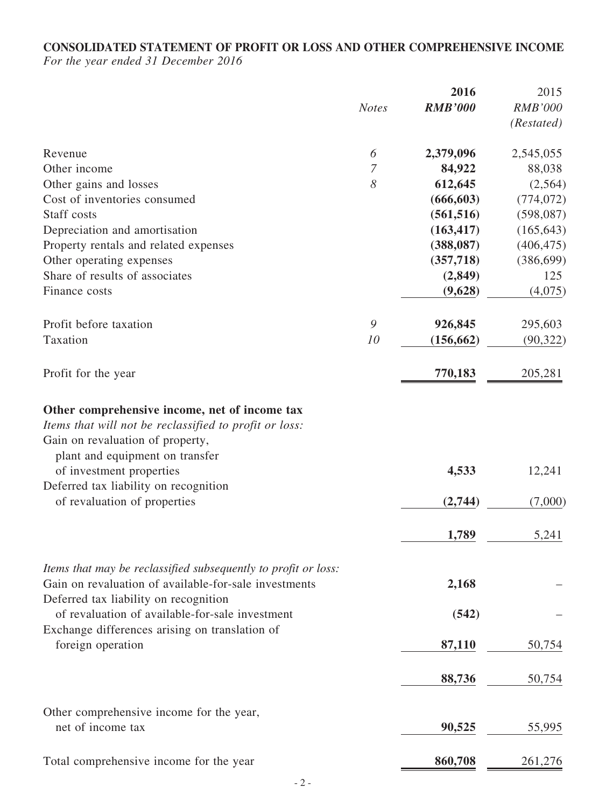# **CONSOLIDATED STATEMENT OF PROFIT OR LOSS AND OTHER COMPREHENSIVE INCOME**

*For the year ended 31 December 2016*

|                                                                                                                                                                                                                                                                                     | <b>Notes</b>   | 2016<br><b>RMB'000</b> | 2015<br><b>RMB'000</b><br>(Restated) |
|-------------------------------------------------------------------------------------------------------------------------------------------------------------------------------------------------------------------------------------------------------------------------------------|----------------|------------------------|--------------------------------------|
| Revenue                                                                                                                                                                                                                                                                             | 6              | 2,379,096              | 2,545,055                            |
| Other income                                                                                                                                                                                                                                                                        | $\overline{7}$ | 84,922                 | 88,038                               |
| Other gains and losses                                                                                                                                                                                                                                                              | 8              | 612,645                | (2,564)                              |
| Cost of inventories consumed                                                                                                                                                                                                                                                        |                | (666, 603)             | (774, 072)                           |
| Staff costs                                                                                                                                                                                                                                                                         |                | (561, 516)             | (598, 087)                           |
| Depreciation and amortisation                                                                                                                                                                                                                                                       |                | (163, 417)             | (165, 643)                           |
| Property rentals and related expenses                                                                                                                                                                                                                                               |                | (388, 087)             | (406, 475)                           |
| Other operating expenses                                                                                                                                                                                                                                                            |                | (357, 718)             | (386, 699)                           |
| Share of results of associates                                                                                                                                                                                                                                                      |                | (2,849)                | 125                                  |
| Finance costs                                                                                                                                                                                                                                                                       |                | (9,628)                | (4,075)                              |
| Profit before taxation                                                                                                                                                                                                                                                              | 9              | 926,845                | 295,603                              |
| Taxation                                                                                                                                                                                                                                                                            | 10             | (156, 662)             | (90, 322)                            |
| Profit for the year                                                                                                                                                                                                                                                                 |                | 770,183                | 205,281                              |
| Other comprehensive income, net of income tax<br>Items that will not be reclassified to profit or loss:<br>Gain on revaluation of property,<br>plant and equipment on transfer<br>of investment properties<br>Deferred tax liability on recognition<br>of revaluation of properties |                | 4,533<br>(2,744)       | 12,241<br>(7,000)                    |
|                                                                                                                                                                                                                                                                                     |                | 1,789                  | 5,241                                |
| Items that may be reclassified subsequently to profit or loss:<br>Gain on revaluation of available-for-sale investments<br>Deferred tax liability on recognition                                                                                                                    |                | 2,168                  |                                      |
| of revaluation of available-for-sale investment                                                                                                                                                                                                                                     |                | (542)                  |                                      |
| Exchange differences arising on translation of<br>foreign operation                                                                                                                                                                                                                 |                | 87,110                 | 50,754                               |
|                                                                                                                                                                                                                                                                                     |                | 88,736                 | 50,754                               |
| Other comprehensive income for the year,<br>net of income tax                                                                                                                                                                                                                       |                | 90,525                 | 55,995                               |
| Total comprehensive income for the year                                                                                                                                                                                                                                             |                | 860,708                | 261,276                              |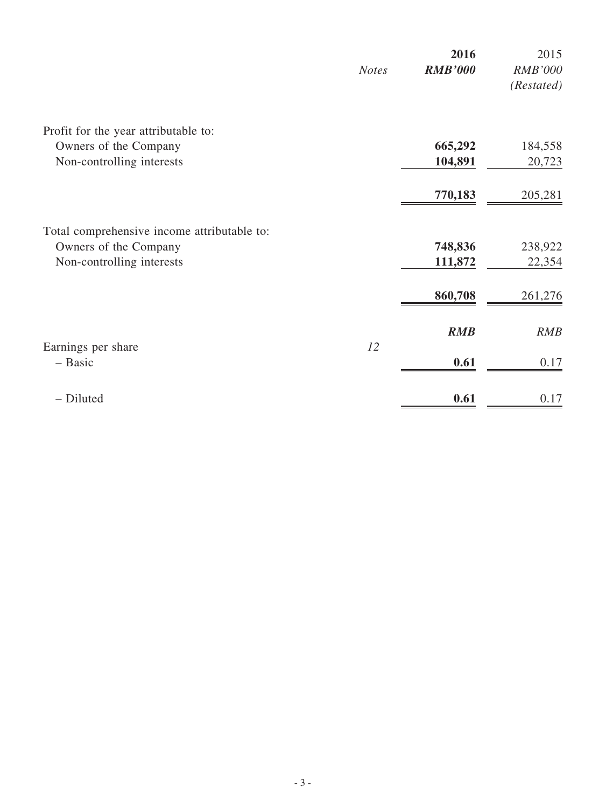|                                             | <b>Notes</b> | 2016<br><b>RMB'000</b> | 2015<br><b>RMB'000</b><br>(Restated) |
|---------------------------------------------|--------------|------------------------|--------------------------------------|
| Profit for the year attributable to:        |              |                        |                                      |
| Owners of the Company                       |              | 665,292                | 184,558                              |
| Non-controlling interests                   |              | 104,891                | 20,723                               |
|                                             |              | 770,183                | 205,281                              |
| Total comprehensive income attributable to: |              |                        |                                      |
| Owners of the Company                       |              | 748,836                | 238,922                              |
| Non-controlling interests                   |              | 111,872                | 22,354                               |
|                                             |              | 860,708                | 261,276                              |
|                                             |              | <b>RMB</b>             | <b>RMB</b>                           |
| Earnings per share<br>- Basic               | 12           | 0.61                   | 0.17                                 |
| - Diluted                                   |              | 0.61                   | 0.17                                 |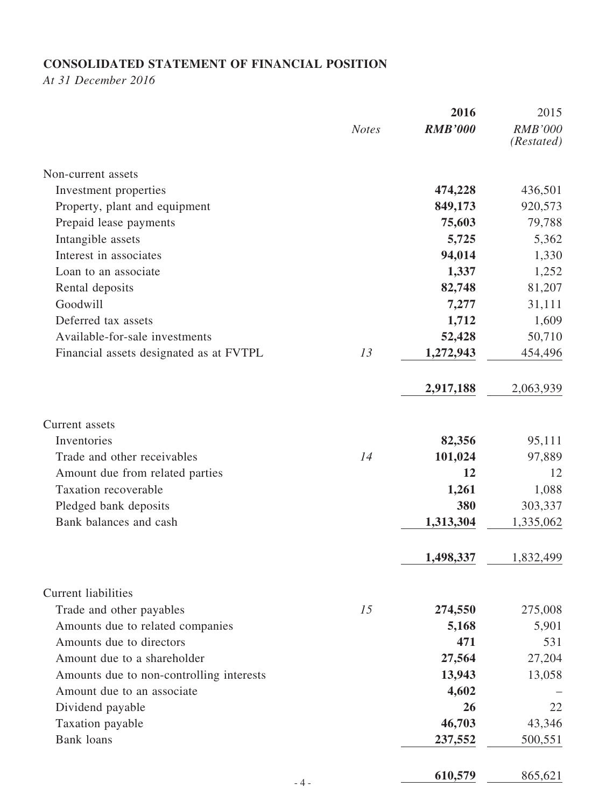## **CONSOLIDATED STATEMENT OF FINANCIAL POSITION**

*At 31 December 2016*

|                                          |              | 2016           | 2015                         |
|------------------------------------------|--------------|----------------|------------------------------|
|                                          | <b>Notes</b> | <b>RMB'000</b> | <b>RMB'000</b><br>(Restated) |
| Non-current assets                       |              |                |                              |
| Investment properties                    |              | 474,228        | 436,501                      |
| Property, plant and equipment            |              | 849,173        | 920,573                      |
| Prepaid lease payments                   |              | 75,603         | 79,788                       |
| Intangible assets                        |              | 5,725          | 5,362                        |
| Interest in associates                   |              | 94,014         | 1,330                        |
| Loan to an associate                     |              | 1,337          | 1,252                        |
| Rental deposits                          |              | 82,748         | 81,207                       |
| Goodwill                                 |              | 7,277          | 31,111                       |
| Deferred tax assets                      |              | 1,712          | 1,609                        |
| Available-for-sale investments           |              | 52,428         | 50,710                       |
| Financial assets designated as at FVTPL  | 13           | 1,272,943      | 454,496                      |
|                                          |              | 2,917,188      | 2,063,939                    |
| Current assets                           |              |                |                              |
| Inventories                              |              | 82,356         | 95,111                       |
| Trade and other receivables              | 14           | 101,024        | 97,889                       |
| Amount due from related parties          |              | 12             | 12                           |
| Taxation recoverable                     |              | 1,261          | 1,088                        |
| Pledged bank deposits                    |              | 380            | 303,337                      |
| Bank balances and cash                   |              | 1,313,304      | 1,335,062                    |
|                                          |              | 1,498,337      | 1,832,499                    |
| <b>Current liabilities</b>               |              |                |                              |
| Trade and other payables                 | 15           | 274,550        | 275,008                      |
| Amounts due to related companies         |              | 5,168          | 5,901                        |
| Amounts due to directors                 |              | 471            | 531                          |
| Amount due to a shareholder              |              | 27,564         | 27,204                       |
| Amounts due to non-controlling interests |              | 13,943         | 13,058                       |
| Amount due to an associate               |              | 4,602          |                              |
| Dividend payable                         |              | 26             | 22                           |
| Taxation payable                         |              | 46,703         | 43,346                       |
| <b>Bank</b> loans                        |              | 237,552        | 500,551                      |
|                                          |              | 610,579        | 865,621                      |

- 4 -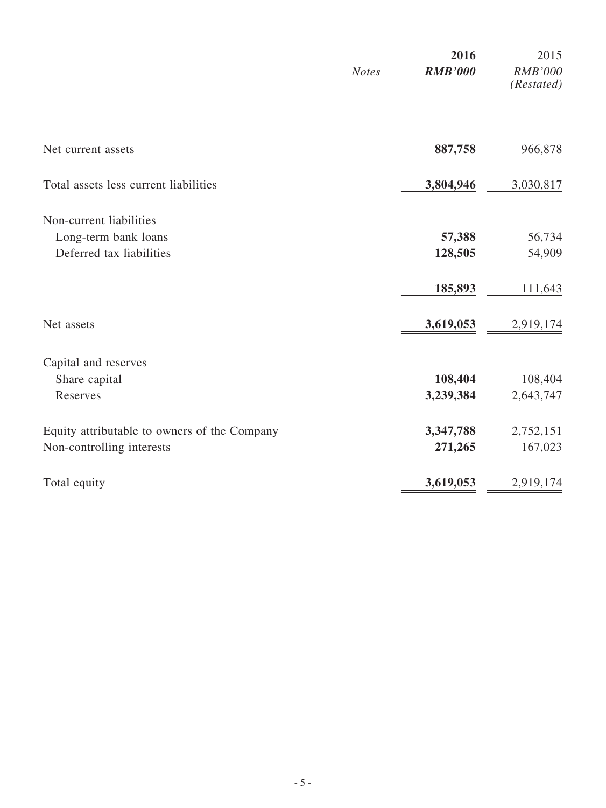|                                              |              | 2016           | 2015                         |
|----------------------------------------------|--------------|----------------|------------------------------|
|                                              | <b>Notes</b> | <b>RMB'000</b> | <b>RMB'000</b><br>(Restated) |
|                                              |              |                |                              |
| Net current assets                           |              | 887,758        | 966,878                      |
| Total assets less current liabilities        |              | 3,804,946      | 3,030,817                    |
| Non-current liabilities                      |              |                |                              |
| Long-term bank loans                         |              | 57,388         | 56,734                       |
| Deferred tax liabilities                     |              | 128,505        | 54,909                       |
|                                              |              | 185,893        | 111,643                      |
| Net assets                                   |              | 3,619,053      | 2,919,174                    |
| Capital and reserves                         |              |                |                              |
| Share capital                                |              | 108,404        | 108,404                      |
| Reserves                                     |              | 3,239,384      | 2,643,747                    |
| Equity attributable to owners of the Company |              | 3,347,788      | 2,752,151                    |
| Non-controlling interests                    |              | 271,265        | 167,023                      |
|                                              |              |                |                              |
| Total equity                                 |              | 3,619,053      | 2,919,174                    |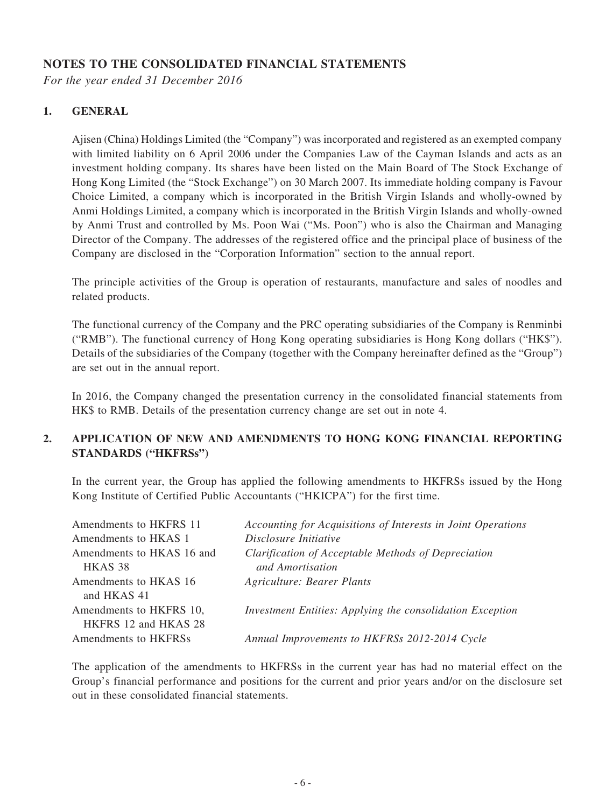## **NOTES TO THE CONSOLIDATED FINANCIAL STATEMENTS**

*For the year ended 31 December 2016*

### **1. GENERAL**

Ajisen (China) Holdings Limited (the "Company") was incorporated and registered as an exempted company with limited liability on 6 April 2006 under the Companies Law of the Cayman Islands and acts as an investment holding company. Its shares have been listed on the Main Board of The Stock Exchange of Hong Kong Limited (the "Stock Exchange") on 30 March 2007. Its immediate holding company is Favour Choice Limited, a company which is incorporated in the British Virgin Islands and wholly-owned by Anmi Holdings Limited, a company which is incorporated in the British Virgin Islands and wholly-owned by Anmi Trust and controlled by Ms. Poon Wai ("Ms. Poon") who is also the Chairman and Managing Director of the Company. The addresses of the registered office and the principal place of business of the Company are disclosed in the "Corporation Information" section to the annual report.

The principle activities of the Group is operation of restaurants, manufacture and sales of noodles and related products.

The functional currency of the Company and the PRC operating subsidiaries of the Company is Renminbi ("RMB"). The functional currency of Hong Kong operating subsidiaries is Hong Kong dollars ("HK\$"). Details of the subsidiaries of the Company (together with the Company hereinafter defined as the "Group") are set out in the annual report.

In 2016, the Company changed the presentation currency in the consolidated financial statements from HK\$ to RMB. Details of the presentation currency change are set out in note 4.

## **2. APPLICATION OF NEW AND AMENDMENTS TO HONG KONG FINANCIAL REPORTING STANDARDS ("HKFRSs")**

In the current year, the Group has applied the following amendments to HKFRSs issued by the Hong Kong Institute of Certified Public Accountants ("HKICPA") for the first time.

| Amendments to HKFRS 11                          | Accounting for Acquisitions of Interests in Joint Operations |
|-------------------------------------------------|--------------------------------------------------------------|
| Amendments to HKAS 1                            | Disclosure Initiative                                        |
| Amendments to HKAS 16 and                       | Clarification of Acceptable Methods of Depreciation          |
| HKAS 38                                         | and Amortisation                                             |
| Amendments to HKAS 16<br>and HKAS 41            | Agriculture: Bearer Plants                                   |
| Amendments to HKFRS 10,<br>HKFRS 12 and HKAS 28 | Investment Entities: Applying the consolidation Exception    |
| Amendments to HKFRSs                            | Annual Improvements to HKFRSs 2012-2014 Cycle                |

The application of the amendments to HKFRSs in the current year has had no material effect on the Group's financial performance and positions for the current and prior years and/or on the disclosure set out in these consolidated financial statements.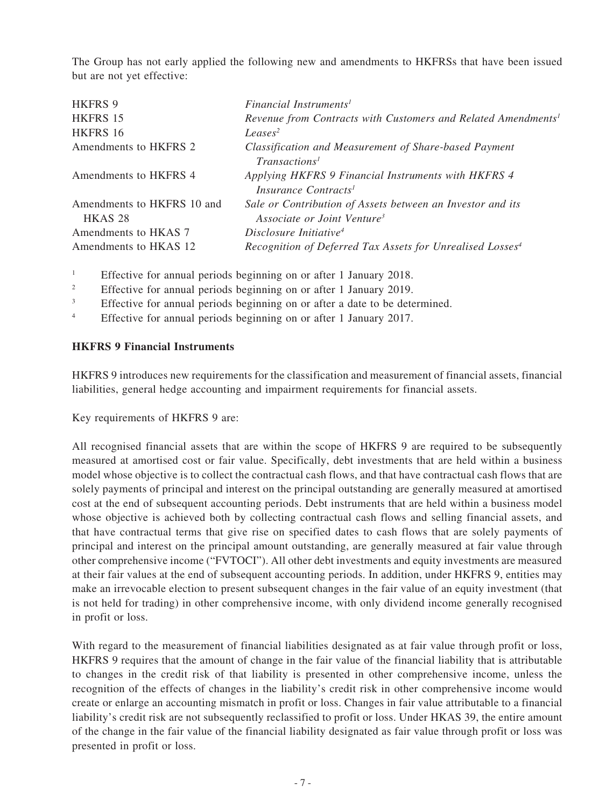The Group has not early applied the following new and amendments to HKFRSs that have been issued but are not yet effective:

| HKFRS 9                                          | Financial Instruments <sup>1</sup>                                                                    |
|--------------------------------------------------|-------------------------------------------------------------------------------------------------------|
| HKFRS 15                                         | Revenue from Contracts with Customers and Related Amendments <sup>1</sup>                             |
| HKFRS 16                                         | Leases <sup>2</sup>                                                                                   |
| Amendments to HKFRS 2                            | Classification and Measurement of Share-based Payment<br>Transactions <sup>1</sup>                    |
| Amendments to HKFRS 4                            | Applying HKFRS 9 Financial Instruments with HKFRS 4<br>Insurance Contracts <sup>1</sup>               |
| Amendments to HKFRS 10 and<br>HKAS <sub>28</sub> | Sale or Contribution of Assets between an Investor and its<br>Associate or Joint Venture <sup>3</sup> |
| Amendments to HKAS 7                             | Disclosure Initiative <sup>4</sup>                                                                    |
| Amendments to HKAS 12                            | Recognition of Deferred Tax Assets for Unrealised Losses <sup>4</sup>                                 |

<sup>1</sup> Effective for annual periods beginning on or after 1 January 2018.

- <sup>2</sup> Effective for annual periods beginning on or after 1 January 2019.
- <sup>3</sup> Effective for annual periods beginning on or after a date to be determined.
- <sup>4</sup> Effective for annual periods beginning on or after 1 January 2017.

#### **HKFRS 9 Financial Instruments**

HKFRS 9 introduces new requirements for the classification and measurement of financial assets, financial liabilities, general hedge accounting and impairment requirements for financial assets.

Key requirements of HKFRS 9 are:

All recognised financial assets that are within the scope of HKFRS 9 are required to be subsequently measured at amortised cost or fair value. Specifically, debt investments that are held within a business model whose objective is to collect the contractual cash flows, and that have contractual cash flows that are solely payments of principal and interest on the principal outstanding are generally measured at amortised cost at the end of subsequent accounting periods. Debt instruments that are held within a business model whose objective is achieved both by collecting contractual cash flows and selling financial assets, and that have contractual terms that give rise on specified dates to cash flows that are solely payments of principal and interest on the principal amount outstanding, are generally measured at fair value through other comprehensive income ("FVTOCI"). All other debt investments and equity investments are measured at their fair values at the end of subsequent accounting periods. In addition, under HKFRS 9, entities may make an irrevocable election to present subsequent changes in the fair value of an equity investment (that is not held for trading) in other comprehensive income, with only dividend income generally recognised in profit or loss.

With regard to the measurement of financial liabilities designated as at fair value through profit or loss, HKFRS 9 requires that the amount of change in the fair value of the financial liability that is attributable to changes in the credit risk of that liability is presented in other comprehensive income, unless the recognition of the effects of changes in the liability's credit risk in other comprehensive income would create or enlarge an accounting mismatch in profit or loss. Changes in fair value attributable to a financial liability's credit risk are not subsequently reclassified to profit or loss. Under HKAS 39, the entire amount of the change in the fair value of the financial liability designated as fair value through profit or loss was presented in profit or loss.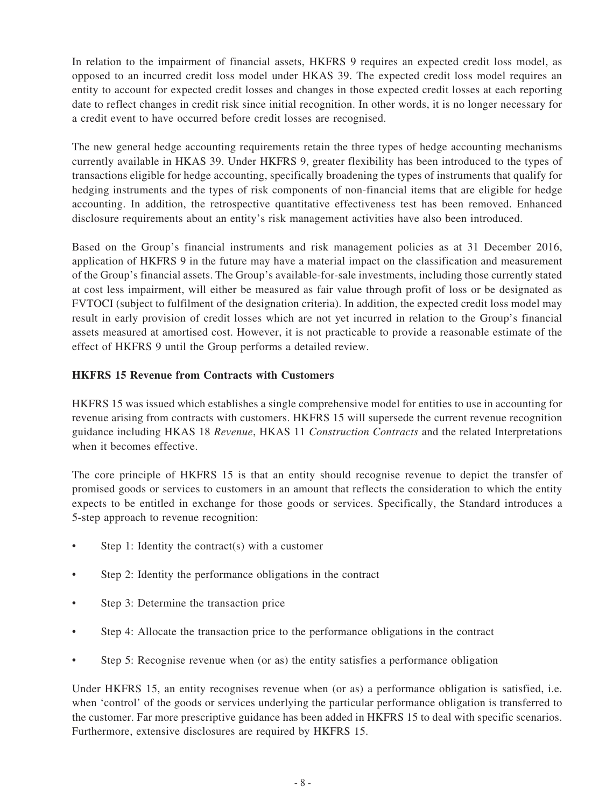In relation to the impairment of financial assets, HKFRS 9 requires an expected credit loss model, as opposed to an incurred credit loss model under HKAS 39. The expected credit loss model requires an entity to account for expected credit losses and changes in those expected credit losses at each reporting date to reflect changes in credit risk since initial recognition. In other words, it is no longer necessary for a credit event to have occurred before credit losses are recognised.

The new general hedge accounting requirements retain the three types of hedge accounting mechanisms currently available in HKAS 39. Under HKFRS 9, greater flexibility has been introduced to the types of transactions eligible for hedge accounting, specifically broadening the types of instruments that qualify for hedging instruments and the types of risk components of non-financial items that are eligible for hedge accounting. In addition, the retrospective quantitative effectiveness test has been removed. Enhanced disclosure requirements about an entity's risk management activities have also been introduced.

Based on the Group's financial instruments and risk management policies as at 31 December 2016, application of HKFRS 9 in the future may have a material impact on the classification and measurement of the Group's financial assets. The Group's available-for-sale investments, including those currently stated at cost less impairment, will either be measured as fair value through profit of loss or be designated as FVTOCI (subject to fulfilment of the designation criteria). In addition, the expected credit loss model may result in early provision of credit losses which are not yet incurred in relation to the Group's financial assets measured at amortised cost. However, it is not practicable to provide a reasonable estimate of the effect of HKFRS 9 until the Group performs a detailed review.

### **HKFRS 15 Revenue from Contracts with Customers**

HKFRS 15 was issued which establishes a single comprehensive model for entities to use in accounting for revenue arising from contracts with customers. HKFRS 15 will supersede the current revenue recognition guidance including HKAS 18 *Revenue*, HKAS 11 *Construction Contracts* and the related Interpretations when it becomes effective.

The core principle of HKFRS 15 is that an entity should recognise revenue to depict the transfer of promised goods or services to customers in an amount that reflects the consideration to which the entity expects to be entitled in exchange for those goods or services. Specifically, the Standard introduces a 5-step approach to revenue recognition:

- Step 1: Identity the contract(s) with a customer
- Step 2: Identity the performance obligations in the contract
- Step 3: Determine the transaction price
- Step 4: Allocate the transaction price to the performance obligations in the contract
- Step 5: Recognise revenue when (or as) the entity satisfies a performance obligation

Under HKFRS 15, an entity recognises revenue when (or as) a performance obligation is satisfied, i.e. when 'control' of the goods or services underlying the particular performance obligation is transferred to the customer. Far more prescriptive guidance has been added in HKFRS 15 to deal with specific scenarios. Furthermore, extensive disclosures are required by HKFRS 15.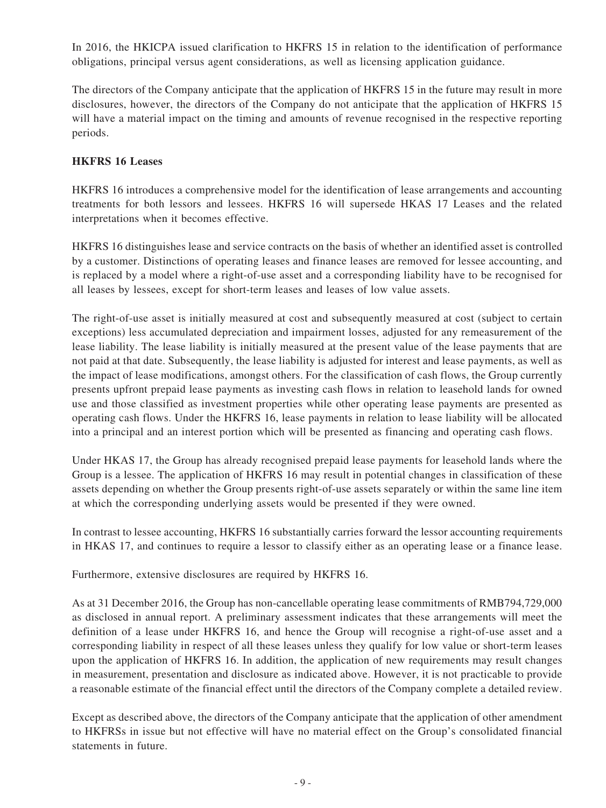In 2016, the HKICPA issued clarification to HKFRS 15 in relation to the identification of performance obligations, principal versus agent considerations, as well as licensing application guidance.

The directors of the Company anticipate that the application of HKFRS 15 in the future may result in more disclosures, however, the directors of the Company do not anticipate that the application of HKFRS 15 will have a material impact on the timing and amounts of revenue recognised in the respective reporting periods.

### **HKFRS 16 Leases**

HKFRS 16 introduces a comprehensive model for the identification of lease arrangements and accounting treatments for both lessors and lessees. HKFRS 16 will supersede HKAS 17 Leases and the related interpretations when it becomes effective.

HKFRS 16 distinguishes lease and service contracts on the basis of whether an identified asset is controlled by a customer. Distinctions of operating leases and finance leases are removed for lessee accounting, and is replaced by a model where a right-of-use asset and a corresponding liability have to be recognised for all leases by lessees, except for short-term leases and leases of low value assets.

The right-of-use asset is initially measured at cost and subsequently measured at cost (subject to certain exceptions) less accumulated depreciation and impairment losses, adjusted for any remeasurement of the lease liability. The lease liability is initially measured at the present value of the lease payments that are not paid at that date. Subsequently, the lease liability is adjusted for interest and lease payments, as well as the impact of lease modifications, amongst others. For the classification of cash flows, the Group currently presents upfront prepaid lease payments as investing cash flows in relation to leasehold lands for owned use and those classified as investment properties while other operating lease payments are presented as operating cash flows. Under the HKFRS 16, lease payments in relation to lease liability will be allocated into a principal and an interest portion which will be presented as financing and operating cash flows.

Under HKAS 17, the Group has already recognised prepaid lease payments for leasehold lands where the Group is a lessee. The application of HKFRS 16 may result in potential changes in classification of these assets depending on whether the Group presents right-of-use assets separately or within the same line item at which the corresponding underlying assets would be presented if they were owned.

In contrast to lessee accounting, HKFRS 16 substantially carries forward the lessor accounting requirements in HKAS 17, and continues to require a lessor to classify either as an operating lease or a finance lease.

Furthermore, extensive disclosures are required by HKFRS 16.

As at 31 December 2016, the Group has non-cancellable operating lease commitments of RMB794,729,000 as disclosed in annual report. A preliminary assessment indicates that these arrangements will meet the definition of a lease under HKFRS 16, and hence the Group will recognise a right-of-use asset and a corresponding liability in respect of all these leases unless they qualify for low value or short-term leases upon the application of HKFRS 16. In addition, the application of new requirements may result changes in measurement, presentation and disclosure as indicated above. However, it is not practicable to provide a reasonable estimate of the financial effect until the directors of the Company complete a detailed review.

Except as described above, the directors of the Company anticipate that the application of other amendment to HKFRSs in issue but not effective will have no material effect on the Group's consolidated financial statements in future.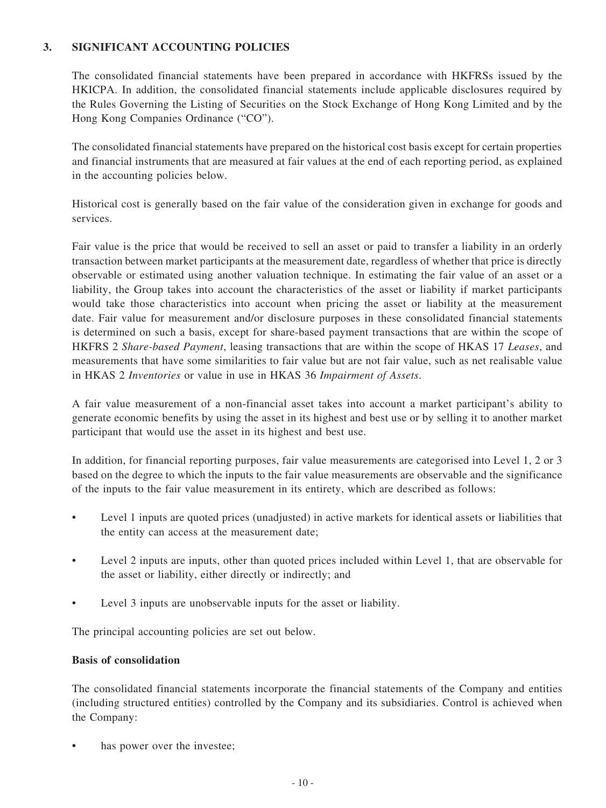## **3. SIGNIFICANT ACCOUNTING POLICIES**

The consolidated financial statements have been prepared in accordance with HKFRSs issued by the HKICPA. In addition, the consolidated financial statements include applicable disclosures required by the Rules Governing the Listing of Securities on the Stock Exchange of Hong Kong Limited and by the Hong Kong Companies Ordinance ("CO").

The consolidated financial statements have prepared on the historical cost basis except for certain properties and financial instruments that are measured at fair values at the end of each reporting period, as explained in the accounting policies below.

Historical cost is generally based on the fair value of the consideration given in exchange for goods and services.

Fair value is the price that would be received to sell an asset or paid to transfer a liability in an orderly transaction between market participants at the measurement date, regardless of whether that price is directly observable or estimated using another valuation technique. In estimating the fair value of an asset or a liability, the Group takes into account the characteristics of the asset or liability if market participants would take those characteristics into account when pricing the asset or liability at the measurement date. Fair value for measurement and/or disclosure purposes in these consolidated financial statements is determined on such a basis, except for share-based payment transactions that are within the scope of HKFRS 2 *Share-based Payment*, leasing transactions that are within the scope of HKAS 17 *Leases*, and measurements that have some similarities to fair value but are not fair value, such as net realisable value in HKAS 2 *Inventories* or value in use in HKAS 36 *Impairment of Assets*.

A fair value measurement of a non-financial asset takes into account a market participant's ability to generate economic benefits by using the asset in its highest and best use or by selling it to another market participant that would use the asset in its highest and best use.

In addition, for financial reporting purposes, fair value measurements are categorised into Level 1, 2 or 3 based on the degree to which the inputs to the fair value measurements are observable and the significance of the inputs to the fair value measurement in its entirety, which are described as follows:

- Level 1 inputs are quoted prices (unadjusted) in active markets for identical assets or liabilities that the entity can access at the measurement date;
- Level 2 inputs are inputs, other than quoted prices included within Level 1, that are observable for the asset or liability, either directly or indirectly; and
- Level 3 inputs are unobservable inputs for the asset or liability.

The principal accounting policies are set out below.

### **Basis of consolidation**

The consolidated financial statements incorporate the financial statements of the Company and entities (including structured entities) controlled by the Company and its subsidiaries. Control is achieved when the Company:

has power over the investee;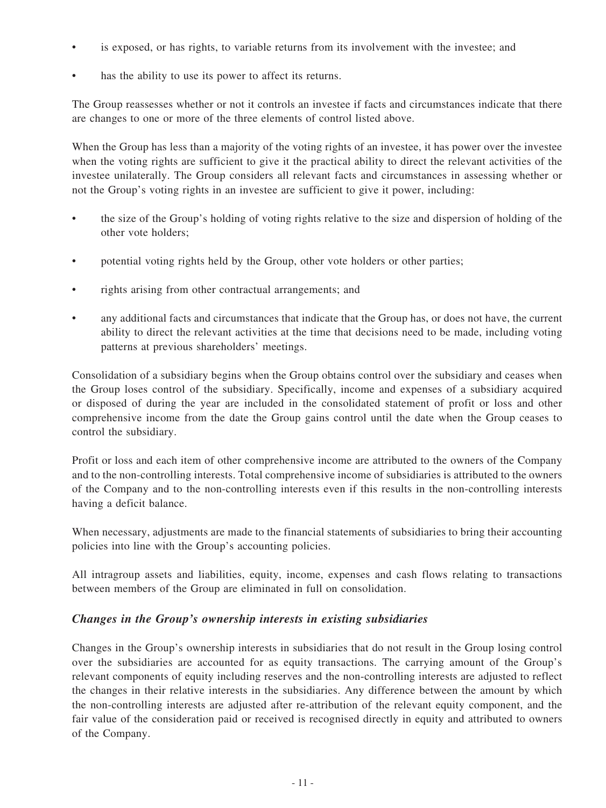- is exposed, or has rights, to variable returns from its involvement with the investee; and
- has the ability to use its power to affect its returns.

The Group reassesses whether or not it controls an investee if facts and circumstances indicate that there are changes to one or more of the three elements of control listed above.

When the Group has less than a majority of the voting rights of an investee, it has power over the investee when the voting rights are sufficient to give it the practical ability to direct the relevant activities of the investee unilaterally. The Group considers all relevant facts and circumstances in assessing whether or not the Group's voting rights in an investee are sufficient to give it power, including:

- the size of the Group's holding of voting rights relative to the size and dispersion of holding of the other vote holders;
- potential voting rights held by the Group, other vote holders or other parties;
- rights arising from other contractual arrangements; and
- any additional facts and circumstances that indicate that the Group has, or does not have, the current ability to direct the relevant activities at the time that decisions need to be made, including voting patterns at previous shareholders' meetings.

Consolidation of a subsidiary begins when the Group obtains control over the subsidiary and ceases when the Group loses control of the subsidiary. Specifically, income and expenses of a subsidiary acquired or disposed of during the year are included in the consolidated statement of profit or loss and other comprehensive income from the date the Group gains control until the date when the Group ceases to control the subsidiary.

Profit or loss and each item of other comprehensive income are attributed to the owners of the Company and to the non-controlling interests. Total comprehensive income of subsidiaries is attributed to the owners of the Company and to the non-controlling interests even if this results in the non-controlling interests having a deficit balance.

When necessary, adjustments are made to the financial statements of subsidiaries to bring their accounting policies into line with the Group's accounting policies.

All intragroup assets and liabilities, equity, income, expenses and cash flows relating to transactions between members of the Group are eliminated in full on consolidation.

### *Changes in the Group's ownership interests in existing subsidiaries*

Changes in the Group's ownership interests in subsidiaries that do not result in the Group losing control over the subsidiaries are accounted for as equity transactions. The carrying amount of the Group's relevant components of equity including reserves and the non-controlling interests are adjusted to reflect the changes in their relative interests in the subsidiaries. Any difference between the amount by which the non-controlling interests are adjusted after re-attribution of the relevant equity component, and the fair value of the consideration paid or received is recognised directly in equity and attributed to owners of the Company.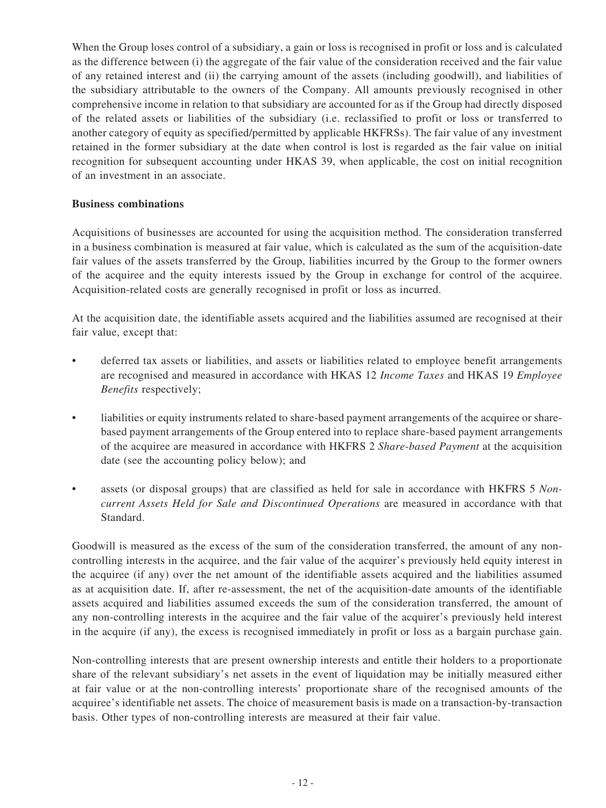When the Group loses control of a subsidiary, a gain or loss is recognised in profit or loss and is calculated as the difference between (i) the aggregate of the fair value of the consideration received and the fair value of any retained interest and (ii) the carrying amount of the assets (including goodwill), and liabilities of the subsidiary attributable to the owners of the Company. All amounts previously recognised in other comprehensive income in relation to that subsidiary are accounted for as if the Group had directly disposed of the related assets or liabilities of the subsidiary (i.e. reclassified to profit or loss or transferred to another category of equity as specified/permitted by applicable HKFRSs). The fair value of any investment retained in the former subsidiary at the date when control is lost is regarded as the fair value on initial recognition for subsequent accounting under HKAS 39, when applicable, the cost on initial recognition of an investment in an associate.

#### **Business combinations**

Acquisitions of businesses are accounted for using the acquisition method. The consideration transferred in a business combination is measured at fair value, which is calculated as the sum of the acquisition-date fair values of the assets transferred by the Group, liabilities incurred by the Group to the former owners of the acquiree and the equity interests issued by the Group in exchange for control of the acquiree. Acquisition-related costs are generally recognised in profit or loss as incurred.

At the acquisition date, the identifiable assets acquired and the liabilities assumed are recognised at their fair value, except that:

- deferred tax assets or liabilities, and assets or liabilities related to employee benefit arrangements are recognised and measured in accordance with HKAS 12 *Income Taxes* and HKAS 19 *Employee Benefits* respectively;
- liabilities or equity instruments related to share-based payment arrangements of the acquiree or sharebased payment arrangements of the Group entered into to replace share-based payment arrangements of the acquiree are measured in accordance with HKFRS 2 *Share-based Payment* at the acquisition date (see the accounting policy below); and
- assets (or disposal groups) that are classified as held for sale in accordance with HKFRS 5 *Noncurrent Assets Held for Sale and Discontinued Operations* are measured in accordance with that Standard.

Goodwill is measured as the excess of the sum of the consideration transferred, the amount of any noncontrolling interests in the acquiree, and the fair value of the acquirer's previously held equity interest in the acquiree (if any) over the net amount of the identifiable assets acquired and the liabilities assumed as at acquisition date. If, after re-assessment, the net of the acquisition-date amounts of the identifiable assets acquired and liabilities assumed exceeds the sum of the consideration transferred, the amount of any non-controlling interests in the acquiree and the fair value of the acquirer's previously held interest in the acquire (if any), the excess is recognised immediately in profit or loss as a bargain purchase gain.

Non-controlling interests that are present ownership interests and entitle their holders to a proportionate share of the relevant subsidiary's net assets in the event of liquidation may be initially measured either at fair value or at the non-controlling interests' proportionate share of the recognised amounts of the acquiree's identifiable net assets. The choice of measurement basis is made on a transaction-by-transaction basis. Other types of non-controlling interests are measured at their fair value.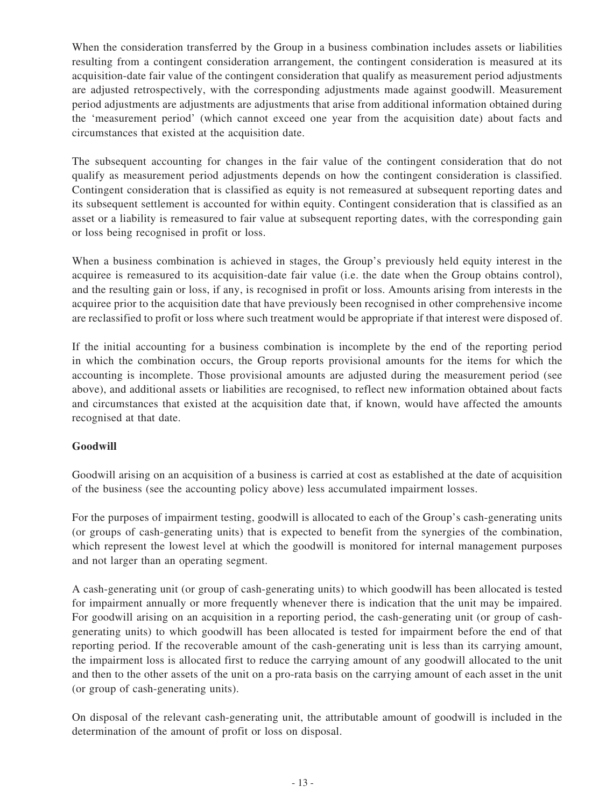When the consideration transferred by the Group in a business combination includes assets or liabilities resulting from a contingent consideration arrangement, the contingent consideration is measured at its acquisition-date fair value of the contingent consideration that qualify as measurement period adjustments are adjusted retrospectively, with the corresponding adjustments made against goodwill. Measurement period adjustments are adjustments are adjustments that arise from additional information obtained during the 'measurement period' (which cannot exceed one year from the acquisition date) about facts and circumstances that existed at the acquisition date.

The subsequent accounting for changes in the fair value of the contingent consideration that do not qualify as measurement period adjustments depends on how the contingent consideration is classified. Contingent consideration that is classified as equity is not remeasured at subsequent reporting dates and its subsequent settlement is accounted for within equity. Contingent consideration that is classified as an asset or a liability is remeasured to fair value at subsequent reporting dates, with the corresponding gain or loss being recognised in profit or loss.

When a business combination is achieved in stages, the Group's previously held equity interest in the acquiree is remeasured to its acquisition-date fair value (i.e. the date when the Group obtains control), and the resulting gain or loss, if any, is recognised in profit or loss. Amounts arising from interests in the acquiree prior to the acquisition date that have previously been recognised in other comprehensive income are reclassified to profit or loss where such treatment would be appropriate if that interest were disposed of.

If the initial accounting for a business combination is incomplete by the end of the reporting period in which the combination occurs, the Group reports provisional amounts for the items for which the accounting is incomplete. Those provisional amounts are adjusted during the measurement period (see above), and additional assets or liabilities are recognised, to reflect new information obtained about facts and circumstances that existed at the acquisition date that, if known, would have affected the amounts recognised at that date.

### **Goodwill**

Goodwill arising on an acquisition of a business is carried at cost as established at the date of acquisition of the business (see the accounting policy above) less accumulated impairment losses.

For the purposes of impairment testing, goodwill is allocated to each of the Group's cash-generating units (or groups of cash-generating units) that is expected to benefit from the synergies of the combination, which represent the lowest level at which the goodwill is monitored for internal management purposes and not larger than an operating segment.

A cash-generating unit (or group of cash-generating units) to which goodwill has been allocated is tested for impairment annually or more frequently whenever there is indication that the unit may be impaired. For goodwill arising on an acquisition in a reporting period, the cash-generating unit (or group of cashgenerating units) to which goodwill has been allocated is tested for impairment before the end of that reporting period. If the recoverable amount of the cash-generating unit is less than its carrying amount, the impairment loss is allocated first to reduce the carrying amount of any goodwill allocated to the unit and then to the other assets of the unit on a pro-rata basis on the carrying amount of each asset in the unit (or group of cash-generating units).

On disposal of the relevant cash-generating unit, the attributable amount of goodwill is included in the determination of the amount of profit or loss on disposal.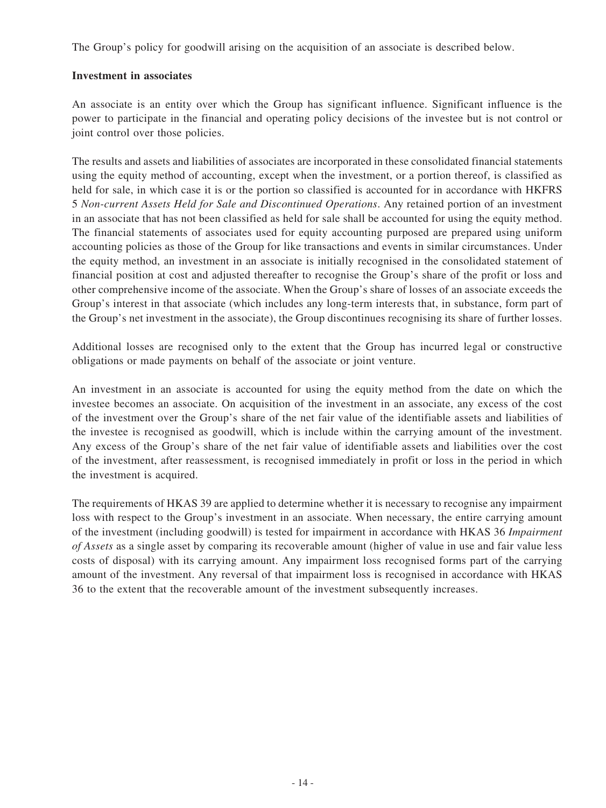The Group's policy for goodwill arising on the acquisition of an associate is described below.

#### **Investment in associates**

An associate is an entity over which the Group has significant influence. Significant influence is the power to participate in the financial and operating policy decisions of the investee but is not control or joint control over those policies.

The results and assets and liabilities of associates are incorporated in these consolidated financial statements using the equity method of accounting, except when the investment, or a portion thereof, is classified as held for sale, in which case it is or the portion so classified is accounted for in accordance with HKFRS 5 *Non-current Assets Held for Sale and Discontinued Operations*. Any retained portion of an investment in an associate that has not been classified as held for sale shall be accounted for using the equity method. The financial statements of associates used for equity accounting purposed are prepared using uniform accounting policies as those of the Group for like transactions and events in similar circumstances. Under the equity method, an investment in an associate is initially recognised in the consolidated statement of financial position at cost and adjusted thereafter to recognise the Group's share of the profit or loss and other comprehensive income of the associate. When the Group's share of losses of an associate exceeds the Group's interest in that associate (which includes any long-term interests that, in substance, form part of the Group's net investment in the associate), the Group discontinues recognising its share of further losses.

Additional losses are recognised only to the extent that the Group has incurred legal or constructive obligations or made payments on behalf of the associate or joint venture.

An investment in an associate is accounted for using the equity method from the date on which the investee becomes an associate. On acquisition of the investment in an associate, any excess of the cost of the investment over the Group's share of the net fair value of the identifiable assets and liabilities of the investee is recognised as goodwill, which is include within the carrying amount of the investment. Any excess of the Group's share of the net fair value of identifiable assets and liabilities over the cost of the investment, after reassessment, is recognised immediately in profit or loss in the period in which the investment is acquired.

The requirements of HKAS 39 are applied to determine whether it is necessary to recognise any impairment loss with respect to the Group's investment in an associate. When necessary, the entire carrying amount of the investment (including goodwill) is tested for impairment in accordance with HKAS 36 *Impairment of Assets* as a single asset by comparing its recoverable amount (higher of value in use and fair value less costs of disposal) with its carrying amount. Any impairment loss recognised forms part of the carrying amount of the investment. Any reversal of that impairment loss is recognised in accordance with HKAS 36 to the extent that the recoverable amount of the investment subsequently increases.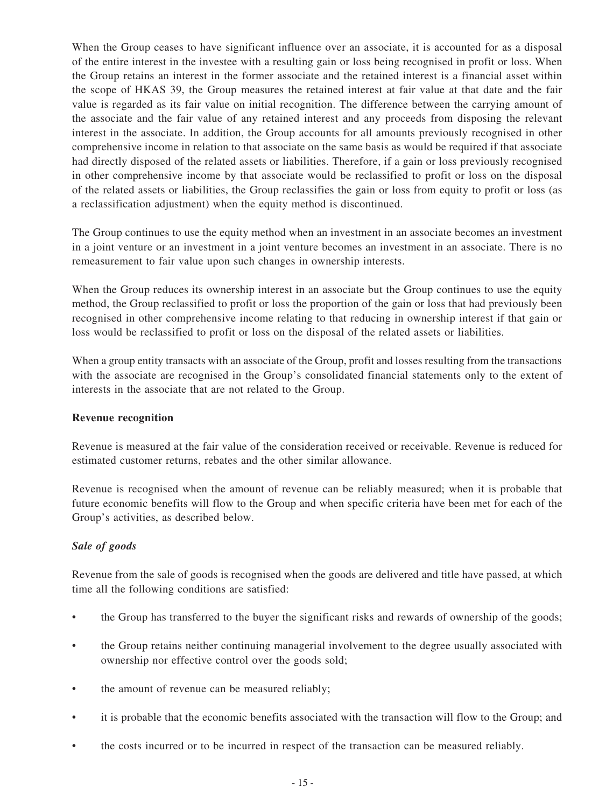When the Group ceases to have significant influence over an associate, it is accounted for as a disposal of the entire interest in the investee with a resulting gain or loss being recognised in profit or loss. When the Group retains an interest in the former associate and the retained interest is a financial asset within the scope of HKAS 39, the Group measures the retained interest at fair value at that date and the fair value is regarded as its fair value on initial recognition. The difference between the carrying amount of the associate and the fair value of any retained interest and any proceeds from disposing the relevant interest in the associate. In addition, the Group accounts for all amounts previously recognised in other comprehensive income in relation to that associate on the same basis as would be required if that associate had directly disposed of the related assets or liabilities. Therefore, if a gain or loss previously recognised in other comprehensive income by that associate would be reclassified to profit or loss on the disposal of the related assets or liabilities, the Group reclassifies the gain or loss from equity to profit or loss (as a reclassification adjustment) when the equity method is discontinued.

The Group continues to use the equity method when an investment in an associate becomes an investment in a joint venture or an investment in a joint venture becomes an investment in an associate. There is no remeasurement to fair value upon such changes in ownership interests.

When the Group reduces its ownership interest in an associate but the Group continues to use the equity method, the Group reclassified to profit or loss the proportion of the gain or loss that had previously been recognised in other comprehensive income relating to that reducing in ownership interest if that gain or loss would be reclassified to profit or loss on the disposal of the related assets or liabilities.

When a group entity transacts with an associate of the Group, profit and losses resulting from the transactions with the associate are recognised in the Group's consolidated financial statements only to the extent of interests in the associate that are not related to the Group.

#### **Revenue recognition**

Revenue is measured at the fair value of the consideration received or receivable. Revenue is reduced for estimated customer returns, rebates and the other similar allowance.

Revenue is recognised when the amount of revenue can be reliably measured; when it is probable that future economic benefits will flow to the Group and when specific criteria have been met for each of the Group's activities, as described below.

### *Sale of goods*

Revenue from the sale of goods is recognised when the goods are delivered and title have passed, at which time all the following conditions are satisfied:

- the Group has transferred to the buyer the significant risks and rewards of ownership of the goods;
- the Group retains neither continuing managerial involvement to the degree usually associated with ownership nor effective control over the goods sold;
- the amount of revenue can be measured reliably;
- it is probable that the economic benefits associated with the transaction will flow to the Group; and
- the costs incurred or to be incurred in respect of the transaction can be measured reliably.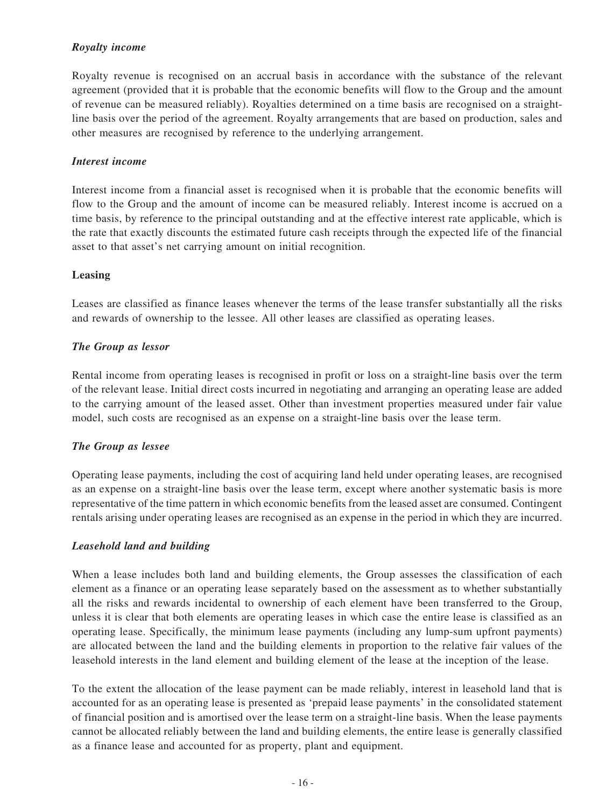### *Royalty income*

Royalty revenue is recognised on an accrual basis in accordance with the substance of the relevant agreement (provided that it is probable that the economic benefits will flow to the Group and the amount of revenue can be measured reliably). Royalties determined on a time basis are recognised on a straightline basis over the period of the agreement. Royalty arrangements that are based on production, sales and other measures are recognised by reference to the underlying arrangement.

#### *Interest income*

Interest income from a financial asset is recognised when it is probable that the economic benefits will flow to the Group and the amount of income can be measured reliably. Interest income is accrued on a time basis, by reference to the principal outstanding and at the effective interest rate applicable, which is the rate that exactly discounts the estimated future cash receipts through the expected life of the financial asset to that asset's net carrying amount on initial recognition.

#### **Leasing**

Leases are classified as finance leases whenever the terms of the lease transfer substantially all the risks and rewards of ownership to the lessee. All other leases are classified as operating leases.

#### *The Group as lessor*

Rental income from operating leases is recognised in profit or loss on a straight-line basis over the term of the relevant lease. Initial direct costs incurred in negotiating and arranging an operating lease are added to the carrying amount of the leased asset. Other than investment properties measured under fair value model, such costs are recognised as an expense on a straight-line basis over the lease term.

#### *The Group as lessee*

Operating lease payments, including the cost of acquiring land held under operating leases, are recognised as an expense on a straight-line basis over the lease term, except where another systematic basis is more representative of the time pattern in which economic benefits from the leased asset are consumed. Contingent rentals arising under operating leases are recognised as an expense in the period in which they are incurred.

#### *Leasehold land and building*

When a lease includes both land and building elements, the Group assesses the classification of each element as a finance or an operating lease separately based on the assessment as to whether substantially all the risks and rewards incidental to ownership of each element have been transferred to the Group, unless it is clear that both elements are operating leases in which case the entire lease is classified as an operating lease. Specifically, the minimum lease payments (including any lump-sum upfront payments) are allocated between the land and the building elements in proportion to the relative fair values of the leasehold interests in the land element and building element of the lease at the inception of the lease.

To the extent the allocation of the lease payment can be made reliably, interest in leasehold land that is accounted for as an operating lease is presented as 'prepaid lease payments' in the consolidated statement of financial position and is amortised over the lease term on a straight-line basis. When the lease payments cannot be allocated reliably between the land and building elements, the entire lease is generally classified as a finance lease and accounted for as property, plant and equipment.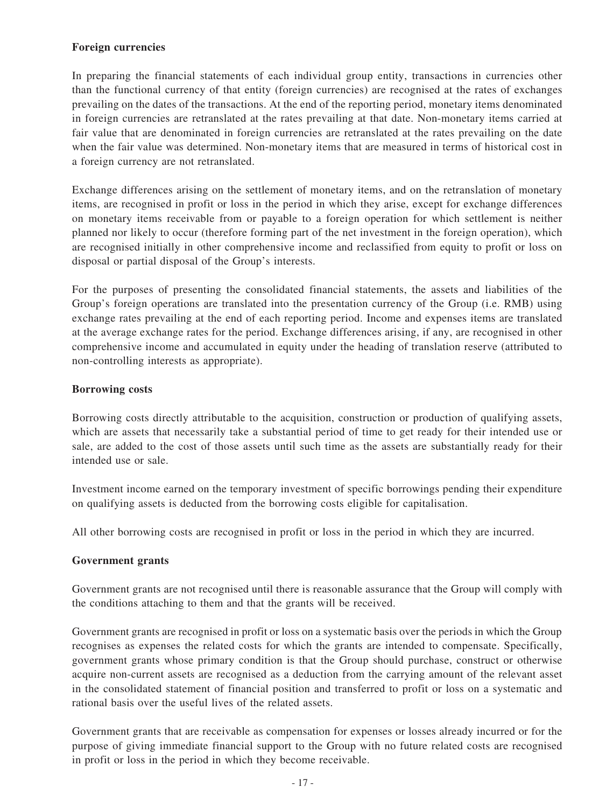#### **Foreign currencies**

In preparing the financial statements of each individual group entity, transactions in currencies other than the functional currency of that entity (foreign currencies) are recognised at the rates of exchanges prevailing on the dates of the transactions. At the end of the reporting period, monetary items denominated in foreign currencies are retranslated at the rates prevailing at that date. Non-monetary items carried at fair value that are denominated in foreign currencies are retranslated at the rates prevailing on the date when the fair value was determined. Non-monetary items that are measured in terms of historical cost in a foreign currency are not retranslated.

Exchange differences arising on the settlement of monetary items, and on the retranslation of monetary items, are recognised in profit or loss in the period in which they arise, except for exchange differences on monetary items receivable from or payable to a foreign operation for which settlement is neither planned nor likely to occur (therefore forming part of the net investment in the foreign operation), which are recognised initially in other comprehensive income and reclassified from equity to profit or loss on disposal or partial disposal of the Group's interests.

For the purposes of presenting the consolidated financial statements, the assets and liabilities of the Group's foreign operations are translated into the presentation currency of the Group (i.e. RMB) using exchange rates prevailing at the end of each reporting period. Income and expenses items are translated at the average exchange rates for the period. Exchange differences arising, if any, are recognised in other comprehensive income and accumulated in equity under the heading of translation reserve (attributed to non-controlling interests as appropriate).

#### **Borrowing costs**

Borrowing costs directly attributable to the acquisition, construction or production of qualifying assets, which are assets that necessarily take a substantial period of time to get ready for their intended use or sale, are added to the cost of those assets until such time as the assets are substantially ready for their intended use or sale.

Investment income earned on the temporary investment of specific borrowings pending their expenditure on qualifying assets is deducted from the borrowing costs eligible for capitalisation.

All other borrowing costs are recognised in profit or loss in the period in which they are incurred.

#### **Government grants**

Government grants are not recognised until there is reasonable assurance that the Group will comply with the conditions attaching to them and that the grants will be received.

Government grants are recognised in profit or loss on a systematic basis over the periods in which the Group recognises as expenses the related costs for which the grants are intended to compensate. Specifically, government grants whose primary condition is that the Group should purchase, construct or otherwise acquire non-current assets are recognised as a deduction from the carrying amount of the relevant asset in the consolidated statement of financial position and transferred to profit or loss on a systematic and rational basis over the useful lives of the related assets.

Government grants that are receivable as compensation for expenses or losses already incurred or for the purpose of giving immediate financial support to the Group with no future related costs are recognised in profit or loss in the period in which they become receivable.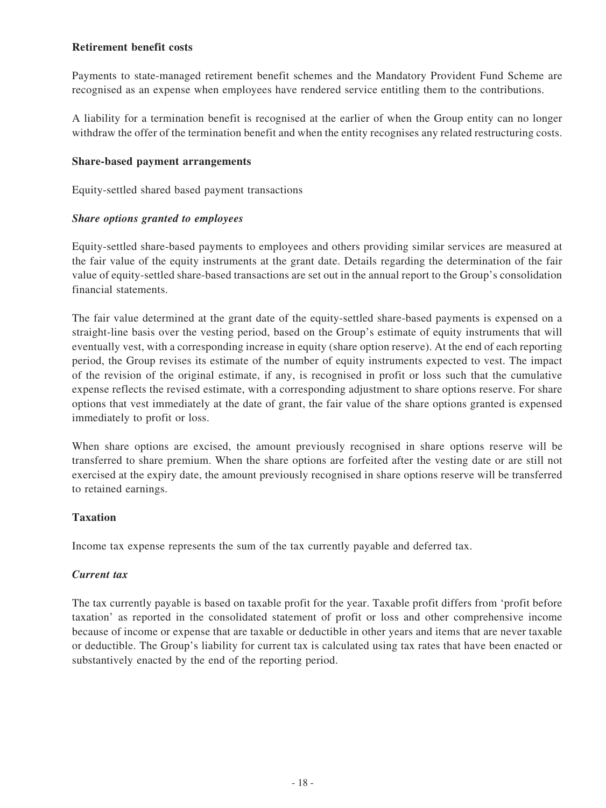#### **Retirement benefit costs**

Payments to state-managed retirement benefit schemes and the Mandatory Provident Fund Scheme are recognised as an expense when employees have rendered service entitling them to the contributions.

A liability for a termination benefit is recognised at the earlier of when the Group entity can no longer withdraw the offer of the termination benefit and when the entity recognises any related restructuring costs.

#### **Share-based payment arrangements**

Equity-settled shared based payment transactions

#### *Share options granted to employees*

Equity-settled share-based payments to employees and others providing similar services are measured at the fair value of the equity instruments at the grant date. Details regarding the determination of the fair value of equity-settled share-based transactions are set out in the annual report to the Group's consolidation financial statements.

The fair value determined at the grant date of the equity-settled share-based payments is expensed on a straight-line basis over the vesting period, based on the Group's estimate of equity instruments that will eventually vest, with a corresponding increase in equity (share option reserve). At the end of each reporting period, the Group revises its estimate of the number of equity instruments expected to vest. The impact of the revision of the original estimate, if any, is recognised in profit or loss such that the cumulative expense reflects the revised estimate, with a corresponding adjustment to share options reserve. For share options that vest immediately at the date of grant, the fair value of the share options granted is expensed immediately to profit or loss.

When share options are excised, the amount previously recognised in share options reserve will be transferred to share premium. When the share options are forfeited after the vesting date or are still not exercised at the expiry date, the amount previously recognised in share options reserve will be transferred to retained earnings.

#### **Taxation**

Income tax expense represents the sum of the tax currently payable and deferred tax.

### *Current tax*

The tax currently payable is based on taxable profit for the year. Taxable profit differs from 'profit before taxation' as reported in the consolidated statement of profit or loss and other comprehensive income because of income or expense that are taxable or deductible in other years and items that are never taxable or deductible. The Group's liability for current tax is calculated using tax rates that have been enacted or substantively enacted by the end of the reporting period.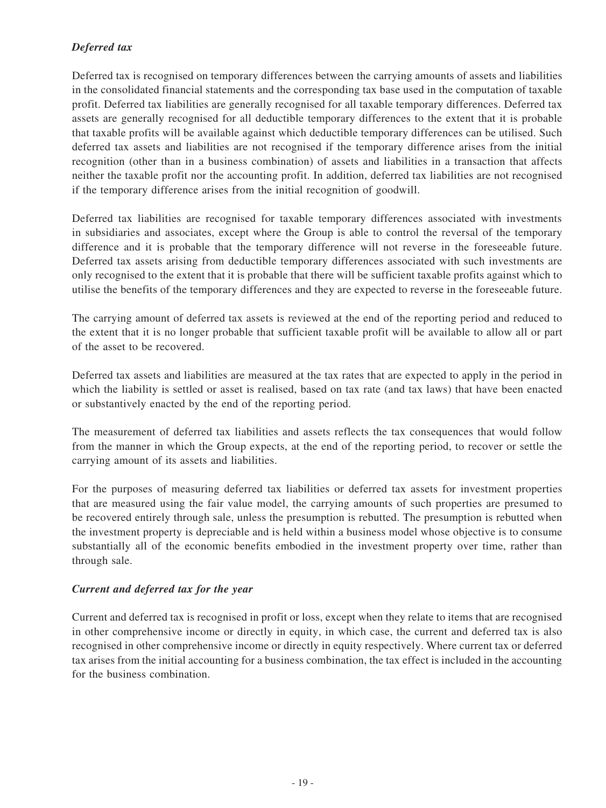## *Deferred tax*

Deferred tax is recognised on temporary differences between the carrying amounts of assets and liabilities in the consolidated financial statements and the corresponding tax base used in the computation of taxable profit. Deferred tax liabilities are generally recognised for all taxable temporary differences. Deferred tax assets are generally recognised for all deductible temporary differences to the extent that it is probable that taxable profits will be available against which deductible temporary differences can be utilised. Such deferred tax assets and liabilities are not recognised if the temporary difference arises from the initial recognition (other than in a business combination) of assets and liabilities in a transaction that affects neither the taxable profit nor the accounting profit. In addition, deferred tax liabilities are not recognised if the temporary difference arises from the initial recognition of goodwill.

Deferred tax liabilities are recognised for taxable temporary differences associated with investments in subsidiaries and associates, except where the Group is able to control the reversal of the temporary difference and it is probable that the temporary difference will not reverse in the foreseeable future. Deferred tax assets arising from deductible temporary differences associated with such investments are only recognised to the extent that it is probable that there will be sufficient taxable profits against which to utilise the benefits of the temporary differences and they are expected to reverse in the foreseeable future.

The carrying amount of deferred tax assets is reviewed at the end of the reporting period and reduced to the extent that it is no longer probable that sufficient taxable profit will be available to allow all or part of the asset to be recovered.

Deferred tax assets and liabilities are measured at the tax rates that are expected to apply in the period in which the liability is settled or asset is realised, based on tax rate (and tax laws) that have been enacted or substantively enacted by the end of the reporting period.

The measurement of deferred tax liabilities and assets reflects the tax consequences that would follow from the manner in which the Group expects, at the end of the reporting period, to recover or settle the carrying amount of its assets and liabilities.

For the purposes of measuring deferred tax liabilities or deferred tax assets for investment properties that are measured using the fair value model, the carrying amounts of such properties are presumed to be recovered entirely through sale, unless the presumption is rebutted. The presumption is rebutted when the investment property is depreciable and is held within a business model whose objective is to consume substantially all of the economic benefits embodied in the investment property over time, rather than through sale.

#### *Current and deferred tax for the year*

Current and deferred tax is recognised in profit or loss, except when they relate to items that are recognised in other comprehensive income or directly in equity, in which case, the current and deferred tax is also recognised in other comprehensive income or directly in equity respectively. Where current tax or deferred tax arises from the initial accounting for a business combination, the tax effect is included in the accounting for the business combination.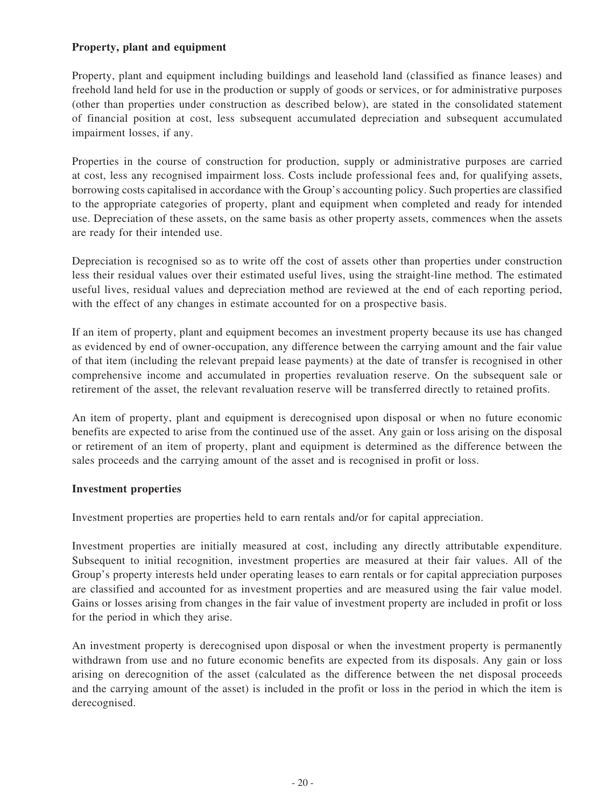#### **Property, plant and equipment**

Property, plant and equipment including buildings and leasehold land (classified as finance leases) and freehold land held for use in the production or supply of goods or services, or for administrative purposes (other than properties under construction as described below), are stated in the consolidated statement of financial position at cost, less subsequent accumulated depreciation and subsequent accumulated impairment losses, if any.

Properties in the course of construction for production, supply or administrative purposes are carried at cost, less any recognised impairment loss. Costs include professional fees and, for qualifying assets, borrowing costs capitalised in accordance with the Group's accounting policy. Such properties are classified to the appropriate categories of property, plant and equipment when completed and ready for intended use. Depreciation of these assets, on the same basis as other property assets, commences when the assets are ready for their intended use.

Depreciation is recognised so as to write off the cost of assets other than properties under construction less their residual values over their estimated useful lives, using the straight-line method. The estimated useful lives, residual values and depreciation method are reviewed at the end of each reporting period, with the effect of any changes in estimate accounted for on a prospective basis.

If an item of property, plant and equipment becomes an investment property because its use has changed as evidenced by end of owner-occupation, any difference between the carrying amount and the fair value of that item (including the relevant prepaid lease payments) at the date of transfer is recognised in other comprehensive income and accumulated in properties revaluation reserve. On the subsequent sale or retirement of the asset, the relevant revaluation reserve will be transferred directly to retained profits.

An item of property, plant and equipment is derecognised upon disposal or when no future economic benefits are expected to arise from the continued use of the asset. Any gain or loss arising on the disposal or retirement of an item of property, plant and equipment is determined as the difference between the sales proceeds and the carrying amount of the asset and is recognised in profit or loss.

#### **Investment properties**

Investment properties are properties held to earn rentals and/or for capital appreciation.

Investment properties are initially measured at cost, including any directly attributable expenditure. Subsequent to initial recognition, investment properties are measured at their fair values. All of the Group's property interests held under operating leases to earn rentals or for capital appreciation purposes are classified and accounted for as investment properties and are measured using the fair value model. Gains or losses arising from changes in the fair value of investment property are included in profit or loss for the period in which they arise.

An investment property is derecognised upon disposal or when the investment property is permanently withdrawn from use and no future economic benefits are expected from its disposals. Any gain or loss arising on derecognition of the asset (calculated as the difference between the net disposal proceeds and the carrying amount of the asset) is included in the profit or loss in the period in which the item is derecognised.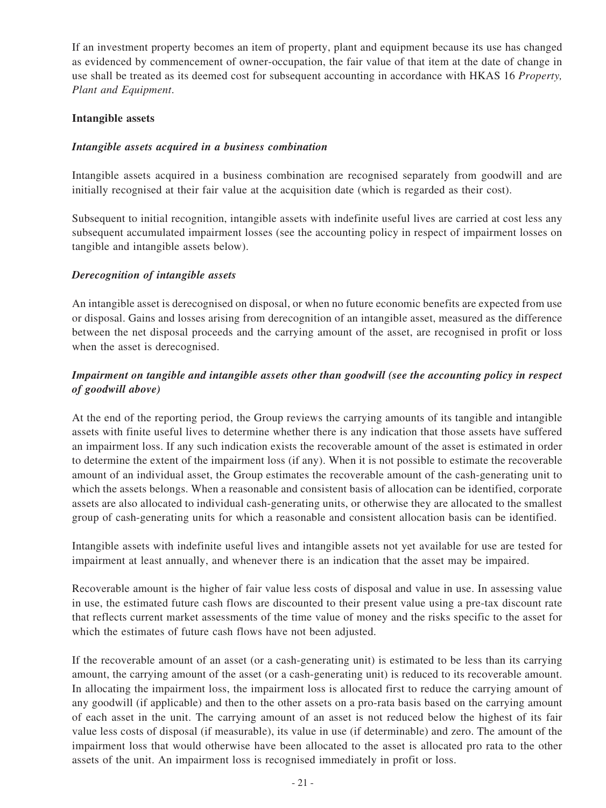If an investment property becomes an item of property, plant and equipment because its use has changed as evidenced by commencement of owner-occupation, the fair value of that item at the date of change in use shall be treated as its deemed cost for subsequent accounting in accordance with HKAS 16 *Property, Plant and Equipment*.

#### **Intangible assets**

#### *Intangible assets acquired in a business combination*

Intangible assets acquired in a business combination are recognised separately from goodwill and are initially recognised at their fair value at the acquisition date (which is regarded as their cost).

Subsequent to initial recognition, intangible assets with indefinite useful lives are carried at cost less any subsequent accumulated impairment losses (see the accounting policy in respect of impairment losses on tangible and intangible assets below).

### *Derecognition of intangible assets*

An intangible asset is derecognised on disposal, or when no future economic benefits are expected from use or disposal. Gains and losses arising from derecognition of an intangible asset, measured as the difference between the net disposal proceeds and the carrying amount of the asset, are recognised in profit or loss when the asset is derecognised.

### *Impairment on tangible and intangible assets other than goodwill (see the accounting policy in respect of goodwill above)*

At the end of the reporting period, the Group reviews the carrying amounts of its tangible and intangible assets with finite useful lives to determine whether there is any indication that those assets have suffered an impairment loss. If any such indication exists the recoverable amount of the asset is estimated in order to determine the extent of the impairment loss (if any). When it is not possible to estimate the recoverable amount of an individual asset, the Group estimates the recoverable amount of the cash-generating unit to which the assets belongs. When a reasonable and consistent basis of allocation can be identified, corporate assets are also allocated to individual cash-generating units, or otherwise they are allocated to the smallest group of cash-generating units for which a reasonable and consistent allocation basis can be identified.

Intangible assets with indefinite useful lives and intangible assets not yet available for use are tested for impairment at least annually, and whenever there is an indication that the asset may be impaired.

Recoverable amount is the higher of fair value less costs of disposal and value in use. In assessing value in use, the estimated future cash flows are discounted to their present value using a pre-tax discount rate that reflects current market assessments of the time value of money and the risks specific to the asset for which the estimates of future cash flows have not been adjusted.

If the recoverable amount of an asset (or a cash-generating unit) is estimated to be less than its carrying amount, the carrying amount of the asset (or a cash-generating unit) is reduced to its recoverable amount. In allocating the impairment loss, the impairment loss is allocated first to reduce the carrying amount of any goodwill (if applicable) and then to the other assets on a pro-rata basis based on the carrying amount of each asset in the unit. The carrying amount of an asset is not reduced below the highest of its fair value less costs of disposal (if measurable), its value in use (if determinable) and zero. The amount of the impairment loss that would otherwise have been allocated to the asset is allocated pro rata to the other assets of the unit. An impairment loss is recognised immediately in profit or loss.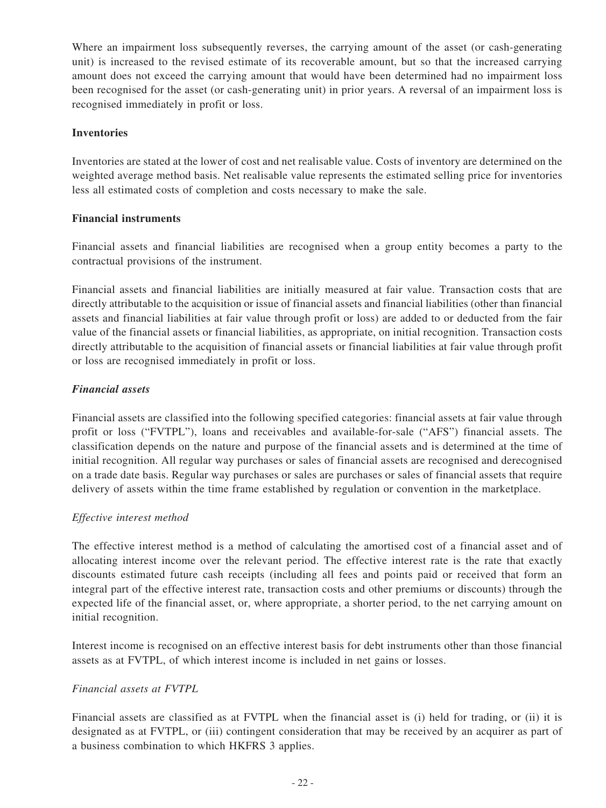Where an impairment loss subsequently reverses, the carrying amount of the asset (or cash-generating unit) is increased to the revised estimate of its recoverable amount, but so that the increased carrying amount does not exceed the carrying amount that would have been determined had no impairment loss been recognised for the asset (or cash-generating unit) in prior years. A reversal of an impairment loss is recognised immediately in profit or loss.

#### **Inventories**

Inventories are stated at the lower of cost and net realisable value. Costs of inventory are determined on the weighted average method basis. Net realisable value represents the estimated selling price for inventories less all estimated costs of completion and costs necessary to make the sale.

#### **Financial instruments**

Financial assets and financial liabilities are recognised when a group entity becomes a party to the contractual provisions of the instrument.

Financial assets and financial liabilities are initially measured at fair value. Transaction costs that are directly attributable to the acquisition or issue of financial assets and financial liabilities (other than financial assets and financial liabilities at fair value through profit or loss) are added to or deducted from the fair value of the financial assets or financial liabilities, as appropriate, on initial recognition. Transaction costs directly attributable to the acquisition of financial assets or financial liabilities at fair value through profit or loss are recognised immediately in profit or loss.

### *Financial assets*

Financial assets are classified into the following specified categories: financial assets at fair value through profit or loss ("FVTPL"), loans and receivables and available-for-sale ("AFS") financial assets. The classification depends on the nature and purpose of the financial assets and is determined at the time of initial recognition. All regular way purchases or sales of financial assets are recognised and derecognised on a trade date basis. Regular way purchases or sales are purchases or sales of financial assets that require delivery of assets within the time frame established by regulation or convention in the marketplace.

#### *Effective interest method*

The effective interest method is a method of calculating the amortised cost of a financial asset and of allocating interest income over the relevant period. The effective interest rate is the rate that exactly discounts estimated future cash receipts (including all fees and points paid or received that form an integral part of the effective interest rate, transaction costs and other premiums or discounts) through the expected life of the financial asset, or, where appropriate, a shorter period, to the net carrying amount on initial recognition.

Interest income is recognised on an effective interest basis for debt instruments other than those financial assets as at FVTPL, of which interest income is included in net gains or losses.

### *Financial assets at FVTPL*

Financial assets are classified as at FVTPL when the financial asset is (i) held for trading, or (ii) it is designated as at FVTPL, or (iii) contingent consideration that may be received by an acquirer as part of a business combination to which HKFRS 3 applies.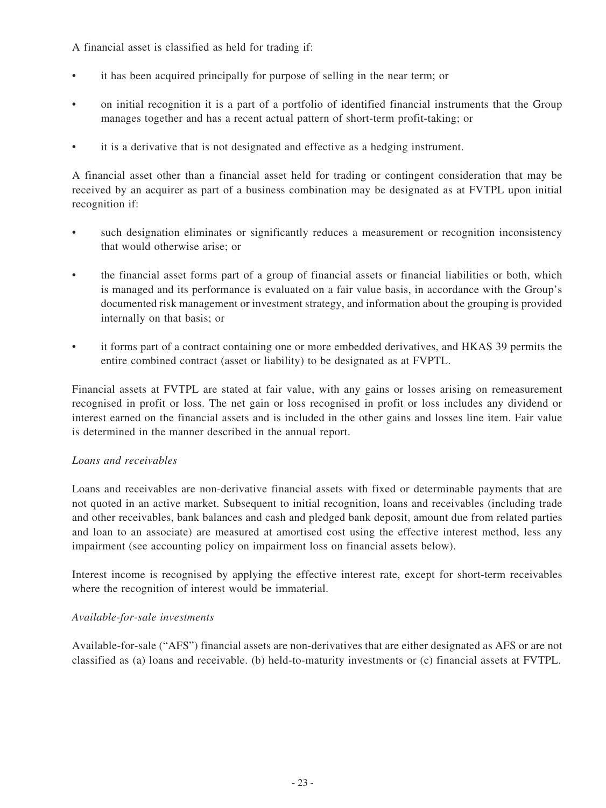A financial asset is classified as held for trading if:

- it has been acquired principally for purpose of selling in the near term; or
- on initial recognition it is a part of a portfolio of identified financial instruments that the Group manages together and has a recent actual pattern of short-term profit-taking; or
- it is a derivative that is not designated and effective as a hedging instrument.

A financial asset other than a financial asset held for trading or contingent consideration that may be received by an acquirer as part of a business combination may be designated as at FVTPL upon initial recognition if:

- such designation eliminates or significantly reduces a measurement or recognition inconsistency that would otherwise arise; or
- the financial asset forms part of a group of financial assets or financial liabilities or both, which is managed and its performance is evaluated on a fair value basis, in accordance with the Group's documented risk management or investment strategy, and information about the grouping is provided internally on that basis; or
- it forms part of a contract containing one or more embedded derivatives, and HKAS 39 permits the entire combined contract (asset or liability) to be designated as at FVPTL.

Financial assets at FVTPL are stated at fair value, with any gains or losses arising on remeasurement recognised in profit or loss. The net gain or loss recognised in profit or loss includes any dividend or interest earned on the financial assets and is included in the other gains and losses line item. Fair value is determined in the manner described in the annual report.

#### *Loans and receivables*

Loans and receivables are non-derivative financial assets with fixed or determinable payments that are not quoted in an active market. Subsequent to initial recognition, loans and receivables (including trade and other receivables, bank balances and cash and pledged bank deposit, amount due from related parties and loan to an associate) are measured at amortised cost using the effective interest method, less any impairment (see accounting policy on impairment loss on financial assets below).

Interest income is recognised by applying the effective interest rate, except for short-term receivables where the recognition of interest would be immaterial.

#### *Available-for-sale investments*

Available-for-sale ("AFS") financial assets are non-derivatives that are either designated as AFS or are not classified as (a) loans and receivable. (b) held-to-maturity investments or (c) financial assets at FVTPL.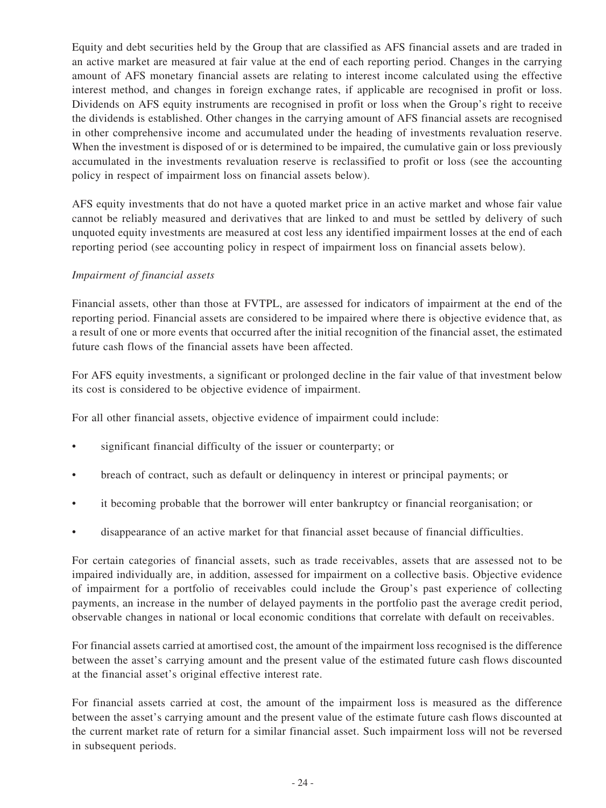Equity and debt securities held by the Group that are classified as AFS financial assets and are traded in an active market are measured at fair value at the end of each reporting period. Changes in the carrying amount of AFS monetary financial assets are relating to interest income calculated using the effective interest method, and changes in foreign exchange rates, if applicable are recognised in profit or loss. Dividends on AFS equity instruments are recognised in profit or loss when the Group's right to receive the dividends is established. Other changes in the carrying amount of AFS financial assets are recognised in other comprehensive income and accumulated under the heading of investments revaluation reserve. When the investment is disposed of or is determined to be impaired, the cumulative gain or loss previously accumulated in the investments revaluation reserve is reclassified to profit or loss (see the accounting policy in respect of impairment loss on financial assets below).

AFS equity investments that do not have a quoted market price in an active market and whose fair value cannot be reliably measured and derivatives that are linked to and must be settled by delivery of such unquoted equity investments are measured at cost less any identified impairment losses at the end of each reporting period (see accounting policy in respect of impairment loss on financial assets below).

#### *Impairment of financial assets*

Financial assets, other than those at FVTPL, are assessed for indicators of impairment at the end of the reporting period. Financial assets are considered to be impaired where there is objective evidence that, as a result of one or more events that occurred after the initial recognition of the financial asset, the estimated future cash flows of the financial assets have been affected.

For AFS equity investments, a significant or prolonged decline in the fair value of that investment below its cost is considered to be objective evidence of impairment.

For all other financial assets, objective evidence of impairment could include:

- significant financial difficulty of the issuer or counterparty; or
- breach of contract, such as default or delinquency in interest or principal payments; or
- it becoming probable that the borrower will enter bankruptcy or financial reorganisation; or
- disappearance of an active market for that financial asset because of financial difficulties.

For certain categories of financial assets, such as trade receivables, assets that are assessed not to be impaired individually are, in addition, assessed for impairment on a collective basis. Objective evidence of impairment for a portfolio of receivables could include the Group's past experience of collecting payments, an increase in the number of delayed payments in the portfolio past the average credit period, observable changes in national or local economic conditions that correlate with default on receivables.

For financial assets carried at amortised cost, the amount of the impairment loss recognised is the difference between the asset's carrying amount and the present value of the estimated future cash flows discounted at the financial asset's original effective interest rate.

For financial assets carried at cost, the amount of the impairment loss is measured as the difference between the asset's carrying amount and the present value of the estimate future cash flows discounted at the current market rate of return for a similar financial asset. Such impairment loss will not be reversed in subsequent periods.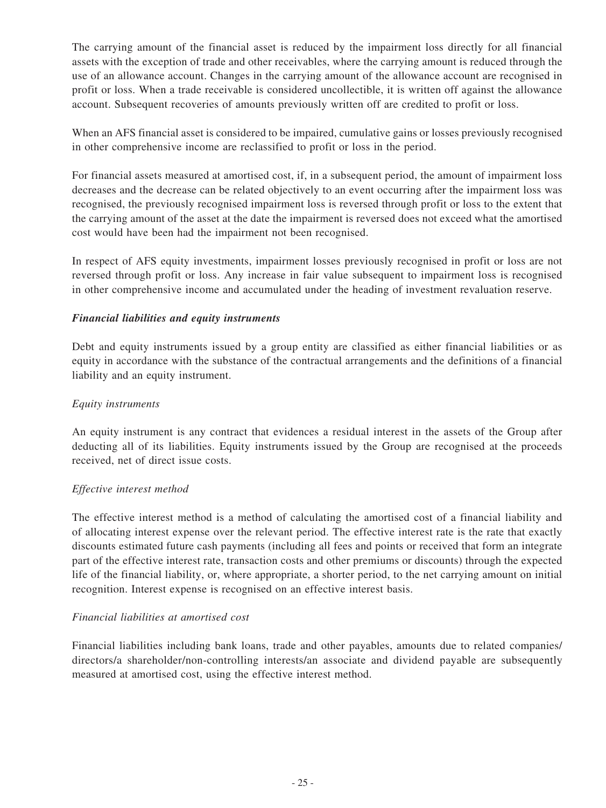The carrying amount of the financial asset is reduced by the impairment loss directly for all financial assets with the exception of trade and other receivables, where the carrying amount is reduced through the use of an allowance account. Changes in the carrying amount of the allowance account are recognised in profit or loss. When a trade receivable is considered uncollectible, it is written off against the allowance account. Subsequent recoveries of amounts previously written off are credited to profit or loss.

When an AFS financial asset is considered to be impaired, cumulative gains or losses previously recognised in other comprehensive income are reclassified to profit or loss in the period.

For financial assets measured at amortised cost, if, in a subsequent period, the amount of impairment loss decreases and the decrease can be related objectively to an event occurring after the impairment loss was recognised, the previously recognised impairment loss is reversed through profit or loss to the extent that the carrying amount of the asset at the date the impairment is reversed does not exceed what the amortised cost would have been had the impairment not been recognised.

In respect of AFS equity investments, impairment losses previously recognised in profit or loss are not reversed through profit or loss. Any increase in fair value subsequent to impairment loss is recognised in other comprehensive income and accumulated under the heading of investment revaluation reserve.

#### *Financial liabilities and equity instruments*

Debt and equity instruments issued by a group entity are classified as either financial liabilities or as equity in accordance with the substance of the contractual arrangements and the definitions of a financial liability and an equity instrument.

#### *Equity instruments*

An equity instrument is any contract that evidences a residual interest in the assets of the Group after deducting all of its liabilities. Equity instruments issued by the Group are recognised at the proceeds received, net of direct issue costs.

#### *Effective interest method*

The effective interest method is a method of calculating the amortised cost of a financial liability and of allocating interest expense over the relevant period. The effective interest rate is the rate that exactly discounts estimated future cash payments (including all fees and points or received that form an integrate part of the effective interest rate, transaction costs and other premiums or discounts) through the expected life of the financial liability, or, where appropriate, a shorter period, to the net carrying amount on initial recognition. Interest expense is recognised on an effective interest basis.

#### *Financial liabilities at amortised cost*

Financial liabilities including bank loans, trade and other payables, amounts due to related companies/ directors/a shareholder/non-controlling interests/an associate and dividend payable are subsequently measured at amortised cost, using the effective interest method.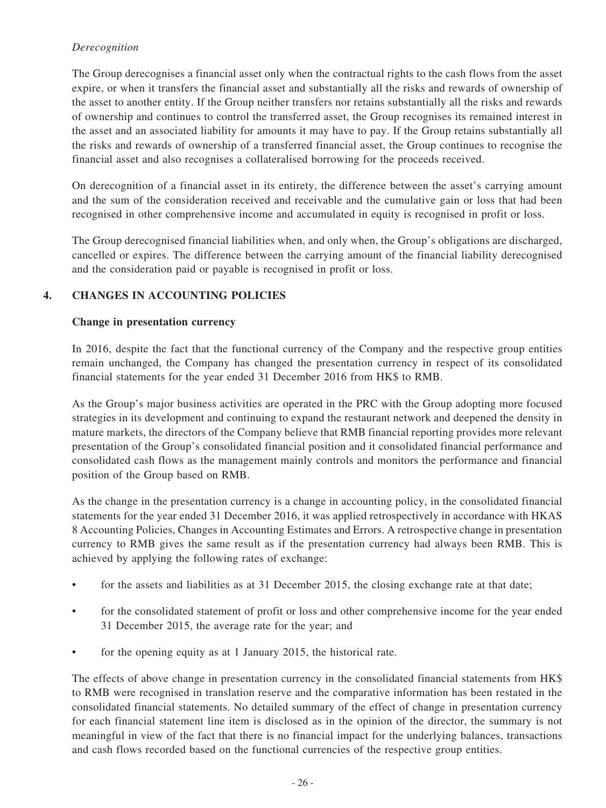### *Derecognition*

The Group derecognises a financial asset only when the contractual rights to the cash flows from the asset expire, or when it transfers the financial asset and substantially all the risks and rewards of ownership of the asset to another entity. If the Group neither transfers nor retains substantially all the risks and rewards of ownership and continues to control the transferred asset, the Group recognises its remained interest in the asset and an associated liability for amounts it may have to pay. If the Group retains substantially all the risks and rewards of ownership of a transferred financial asset, the Group continues to recognise the financial asset and also recognises a collateralised borrowing for the proceeds received.

On derecognition of a financial asset in its entirety, the difference between the asset's carrying amount and the sum of the consideration received and receivable and the cumulative gain or loss that had been recognised in other comprehensive income and accumulated in equity is recognised in profit or loss.

The Group derecognised financial liabilities when, and only when, the Group's obligations are discharged, cancelled or expires. The difference between the carrying amount of the financial liability derecognised and the consideration paid or payable is recognised in profit or loss.

### **4. CHANGES IN ACCOUNTING POLICIES**

### **Change in presentation currency**

In 2016, despite the fact that the functional currency of the Company and the respective group entities remain unchanged, the Company has changed the presentation currency in respect of its consolidated financial statements for the year ended 31 December 2016 from HK\$ to RMB.

As the Group's major business activities are operated in the PRC with the Group adopting more focused strategies in its development and continuing to expand the restaurant network and deepened the density in mature markets, the directors of the Company believe that RMB financial reporting provides more relevant presentation of the Group's consolidated financial position and it consolidated financial performance and consolidated cash flows as the management mainly controls and monitors the performance and financial position of the Group based on RMB.

As the change in the presentation currency is a change in accounting policy, in the consolidated financial statements for the year ended 31 December 2016, it was applied retrospectively in accordance with HKAS 8 Accounting Policies, Changes in Accounting Estimates and Errors. A retrospective change in presentation currency to RMB gives the same result as if the presentation currency had always been RMB. This is achieved by applying the following rates of exchange:

- for the assets and liabilities as at 31 December 2015, the closing exchange rate at that date;
- for the consolidated statement of profit or loss and other comprehensive income for the year ended 31 December 2015, the average rate for the year; and
- for the opening equity as at 1 January 2015, the historical rate.

The effects of above change in presentation currency in the consolidated financial statements from HK\$ to RMB were recognised in translation reserve and the comparative information has been restated in the consolidated financial statements. No detailed summary of the effect of change in presentation currency for each financial statement line item is disclosed as in the opinion of the director, the summary is not meaningful in view of the fact that there is no financial impact for the underlying balances, transactions and cash flows recorded based on the functional currencies of the respective group entities.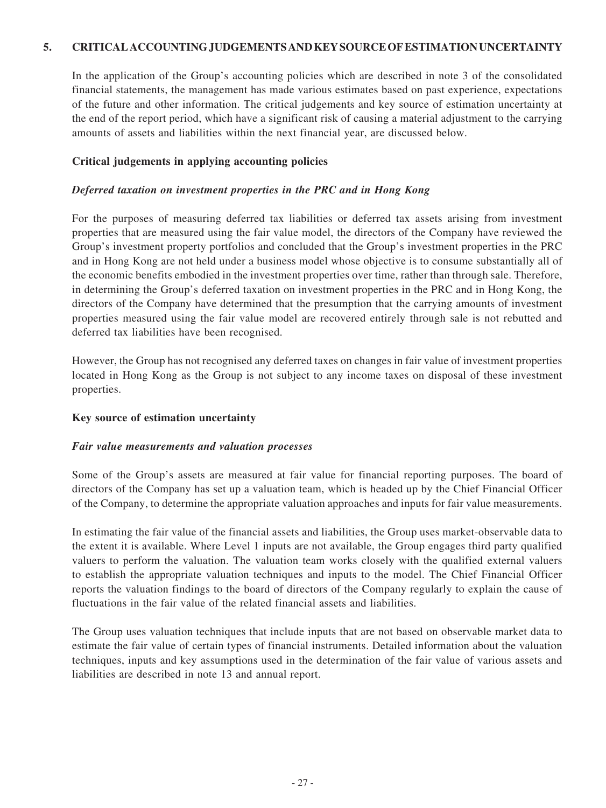### **5. CRITICAL ACCOUNTING JUDGEMENTS AND KEY SOURCE OF ESTIMATION UNCERTAINTY**

In the application of the Group's accounting policies which are described in note 3 of the consolidated financial statements, the management has made various estimates based on past experience, expectations of the future and other information. The critical judgements and key source of estimation uncertainty at the end of the report period, which have a significant risk of causing a material adjustment to the carrying amounts of assets and liabilities within the next financial year, are discussed below.

#### **Critical judgements in applying accounting policies**

#### *Deferred taxation on investment properties in the PRC and in Hong Kong*

For the purposes of measuring deferred tax liabilities or deferred tax assets arising from investment properties that are measured using the fair value model, the directors of the Company have reviewed the Group's investment property portfolios and concluded that the Group's investment properties in the PRC and in Hong Kong are not held under a business model whose objective is to consume substantially all of the economic benefits embodied in the investment properties over time, rather than through sale. Therefore, in determining the Group's deferred taxation on investment properties in the PRC and in Hong Kong, the directors of the Company have determined that the presumption that the carrying amounts of investment properties measured using the fair value model are recovered entirely through sale is not rebutted and deferred tax liabilities have been recognised.

However, the Group has not recognised any deferred taxes on changes in fair value of investment properties located in Hong Kong as the Group is not subject to any income taxes on disposal of these investment properties.

#### **Key source of estimation uncertainty**

#### *Fair value measurements and valuation processes*

Some of the Group's assets are measured at fair value for financial reporting purposes. The board of directors of the Company has set up a valuation team, which is headed up by the Chief Financial Officer of the Company, to determine the appropriate valuation approaches and inputs for fair value measurements.

In estimating the fair value of the financial assets and liabilities, the Group uses market-observable data to the extent it is available. Where Level 1 inputs are not available, the Group engages third party qualified valuers to perform the valuation. The valuation team works closely with the qualified external valuers to establish the appropriate valuation techniques and inputs to the model. The Chief Financial Officer reports the valuation findings to the board of directors of the Company regularly to explain the cause of fluctuations in the fair value of the related financial assets and liabilities.

The Group uses valuation techniques that include inputs that are not based on observable market data to estimate the fair value of certain types of financial instruments. Detailed information about the valuation techniques, inputs and key assumptions used in the determination of the fair value of various assets and liabilities are described in note 13 and annual report.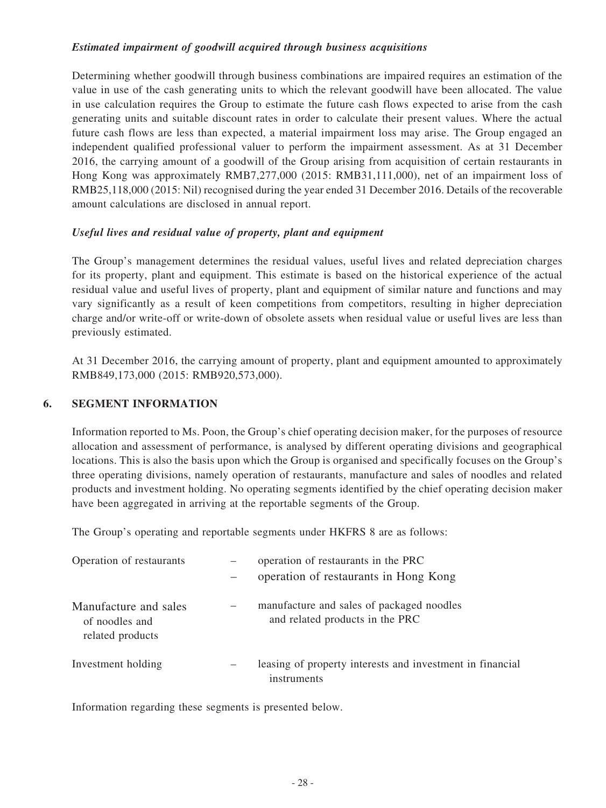### *Estimated impairment of goodwill acquired through business acquisitions*

Determining whether goodwill through business combinations are impaired requires an estimation of the value in use of the cash generating units to which the relevant goodwill have been allocated. The value in use calculation requires the Group to estimate the future cash flows expected to arise from the cash generating units and suitable discount rates in order to calculate their present values. Where the actual future cash flows are less than expected, a material impairment loss may arise. The Group engaged an independent qualified professional valuer to perform the impairment assessment. As at 31 December 2016, the carrying amount of a goodwill of the Group arising from acquisition of certain restaurants in Hong Kong was approximately RMB7,277,000 (2015: RMB31,111,000), net of an impairment loss of RMB25,118,000 (2015: Nil) recognised during the year ended 31 December 2016. Details of the recoverable amount calculations are disclosed in annual report.

#### *Useful lives and residual value of property, plant and equipment*

The Group's management determines the residual values, useful lives and related depreciation charges for its property, plant and equipment. This estimate is based on the historical experience of the actual residual value and useful lives of property, plant and equipment of similar nature and functions and may vary significantly as a result of keen competitions from competitors, resulting in higher depreciation charge and/or write-off or write-down of obsolete assets when residual value or useful lives are less than previously estimated.

At 31 December 2016, the carrying amount of property, plant and equipment amounted to approximately RMB849,173,000 (2015: RMB920,573,000).

#### **6. SEGMENT INFORMATION**

Information reported to Ms. Poon, the Group's chief operating decision maker, for the purposes of resource allocation and assessment of performance, is analysed by different operating divisions and geographical locations. This is also the basis upon which the Group is organised and specifically focuses on the Group's three operating divisions, namely operation of restaurants, manufacture and sales of noodles and related products and investment holding. No operating segments identified by the chief operating decision maker have been aggregated in arriving at the reportable segments of the Group.

The Group's operating and reportable segments under HKFRS 8 are as follows:

| Operation of restaurants                                    | operation of restaurants in the PRC<br>operation of restaurants in Hong Kong |
|-------------------------------------------------------------|------------------------------------------------------------------------------|
| Manufacture and sales<br>of noodles and<br>related products | manufacture and sales of packaged noodles<br>and related products in the PRC |
| Investment holding                                          | leasing of property interests and investment in financial<br>instruments     |

Information regarding these segments is presented below.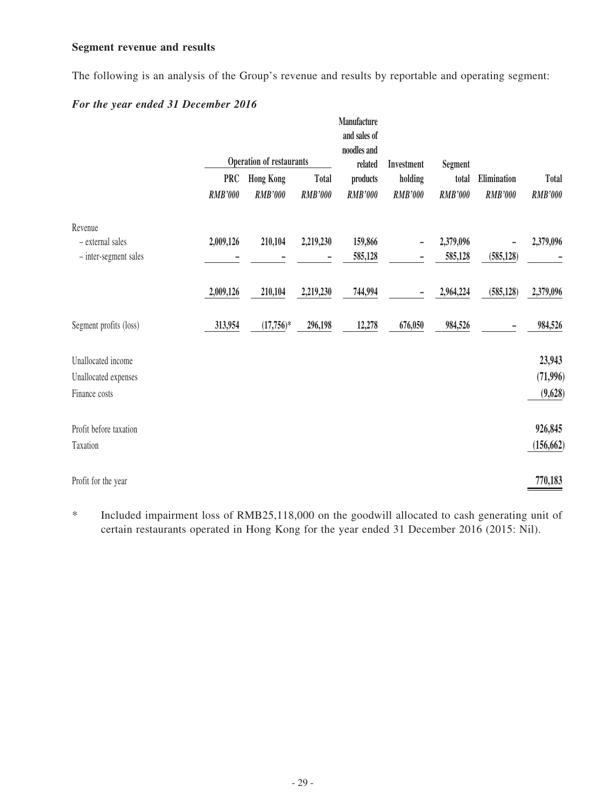## **Segment revenue and results**

The following is an analysis of the Group's revenue and results by reportable and operating segment:

### *For the year ended 31 December 2016*

|                        |                | <b>Operation of restaurants</b> |                | <b>Manufacture</b><br>and sales of<br>noodles and<br>related | Investment     | Segment        |                |                |
|------------------------|----------------|---------------------------------|----------------|--------------------------------------------------------------|----------------|----------------|----------------|----------------|
|                        | <b>PRC</b>     | <b>Hong Kong</b>                | <b>Total</b>   | products                                                     | holding        | total          | Elimination    | <b>Total</b>   |
|                        | <b>RMB'000</b> | <b>RMB'000</b>                  | <b>RMB'000</b> | <b>RMB'000</b>                                               | <b>RMB'000</b> | <b>RMB'000</b> | <b>RMB'000</b> | <b>RMB'000</b> |
| Revenue                |                |                                 |                |                                                              |                |                |                |                |
| - external sales       | 2,009,126      | 210,104                         | 2,219,230      | 159,866                                                      |                | 2,379,096      |                | 2,379,096      |
| - inter-segment sales  |                |                                 |                | 585,128                                                      |                | 585,128        | (585, 128)     |                |
|                        | 2,009,126      | 210,104                         | 2,219,230      | 744,994                                                      |                | 2,964,224      | (585, 128)     | 2,379,096      |
| Segment profits (loss) | 313,954        | $(17,756)*$                     | 296,198        | 12,278                                                       | 676,050        | 984,526        |                | 984,526        |
| Unallocated income     |                |                                 |                |                                                              |                |                |                | 23,943         |
| Unallocated expenses   |                |                                 |                |                                                              |                |                |                | (71, 996)      |
| Finance costs          |                |                                 |                |                                                              |                |                |                | (9,628)        |
| Profit before taxation |                |                                 |                |                                                              |                |                |                | 926,845        |
| Taxation               |                |                                 |                |                                                              |                |                |                | (156, 662)     |
| Profit for the year    |                |                                 |                |                                                              |                |                |                | 770,183        |

\* Included impairment loss of RMB25,118,000 on the goodwill allocated to cash generating unit of certain restaurants operated in Hong Kong for the year ended 31 December 2016 (2015: Nil).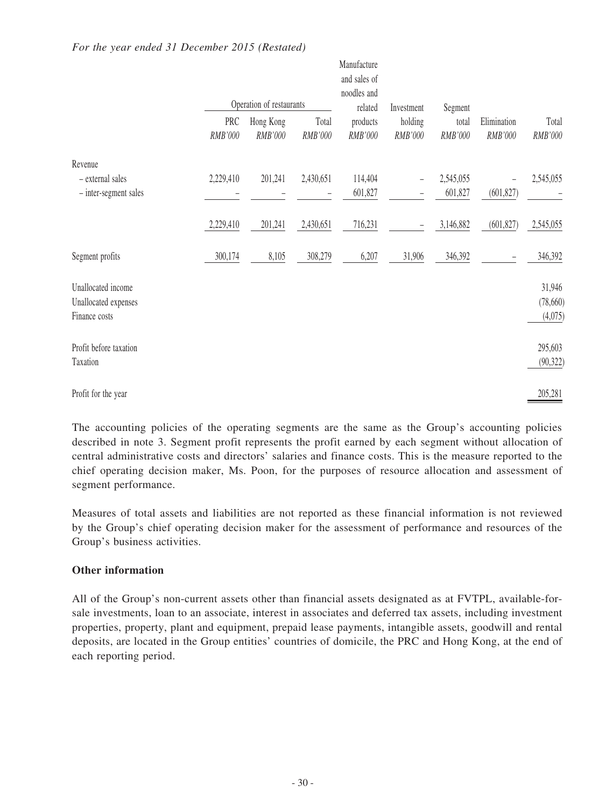|                                                             |                | Operation of restaurants |                  | Manufacture<br>and sales of<br>noodles and<br>related | Investment         | Segment              |                        |                               |
|-------------------------------------------------------------|----------------|--------------------------|------------------|-------------------------------------------------------|--------------------|----------------------|------------------------|-------------------------------|
|                                                             | PRC<br>RMB'000 | Hong Kong<br>RMB'000     | Total<br>RMB'000 | products<br>RMB'000                                   | holding<br>RMB'000 | total<br>RMB'000     | Elimination<br>RMB'000 | Total<br>RMB'000              |
| Revenue<br>- external sales<br>- inter-segment sales        | 2,229,410      | 201,241                  | 2,430,651        | 114,404<br>601,827                                    | $\qquad \qquad -$  | 2,545,055<br>601,827 | (601, 827)             | 2,545,055                     |
|                                                             | 2,229,410      | 201,241                  | 2,430,651        | 716,231                                               |                    | 3,146,882            | (601, 827)             | 2,545,055                     |
| Segment profits                                             | 300,174        | 8,105                    | 308,279          | 6,207                                                 | 31,906             | 346,392              |                        | 346,392                       |
| Unallocated income<br>Unallocated expenses<br>Finance costs |                |                          |                  |                                                       |                    |                      |                        | 31,946<br>(78,660)<br>(4,075) |
| Profit before taxation<br>Taxation                          |                |                          |                  |                                                       |                    |                      |                        | 295,603<br>(90, 322)          |
| Profit for the year                                         |                |                          |                  |                                                       |                    |                      |                        | 205,281                       |

*For the year ended 31 December 2015 (Restated)*

The accounting policies of the operating segments are the same as the Group's accounting policies described in note 3. Segment profit represents the profit earned by each segment without allocation of central administrative costs and directors' salaries and finance costs. This is the measure reported to the chief operating decision maker, Ms. Poon, for the purposes of resource allocation and assessment of segment performance.

Measures of total assets and liabilities are not reported as these financial information is not reviewed by the Group's chief operating decision maker for the assessment of performance and resources of the Group's business activities.

### **Other information**

All of the Group's non-current assets other than financial assets designated as at FVTPL, available-forsale investments, loan to an associate, interest in associates and deferred tax assets, including investment properties, property, plant and equipment, prepaid lease payments, intangible assets, goodwill and rental deposits, are located in the Group entities' countries of domicile, the PRC and Hong Kong, at the end of each reporting period.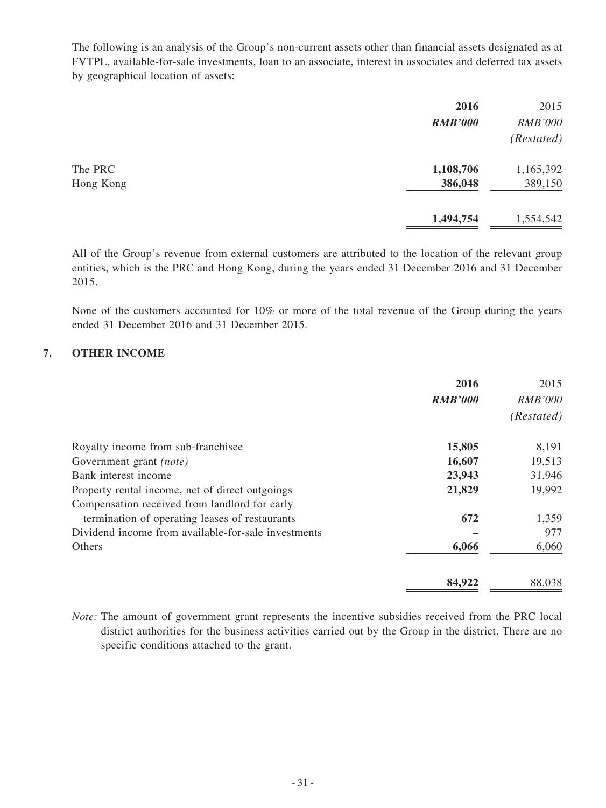The following is an analysis of the Group's non-current assets other than financial assets designated as at FVTPL, available-for-sale investments, loan to an associate, interest in associates and deferred tax assets by geographical location of assets:

|           | 2016           | 2015           |
|-----------|----------------|----------------|
|           | <b>RMB'000</b> | <b>RMB'000</b> |
|           |                | (Restated)     |
| The PRC   | 1,108,706      | 1,165,392      |
| Hong Kong | 386,048        | 389,150        |
|           | 1,494,754      | 1,554,542      |

All of the Group's revenue from external customers are attributed to the location of the relevant group entities, which is the PRC and Hong Kong, during the years ended 31 December 2016 and 31 December 2015.

None of the customers accounted for 10% or more of the total revenue of the Group during the years ended 31 December 2016 and 31 December 2015.

#### **7. OTHER INCOME**

|                                                     | 2016           | 2015           |
|-----------------------------------------------------|----------------|----------------|
|                                                     | <b>RMB'000</b> | <b>RMB'000</b> |
|                                                     |                | (Restated)     |
| Royalty income from sub-franchisee                  | 15,805         | 8,191          |
| Government grant (note)                             | 16,607         | 19,513         |
| Bank interest income                                | 23,943         | 31,946         |
| Property rental income, net of direct outgoings     | 21,829         | 19,992         |
| Compensation received from landlord for early       |                |                |
| termination of operating leases of restaurants      | 672            | 1,359          |
| Dividend income from available-for-sale investments |                | 977            |
| <b>Others</b>                                       | 6,066          | 6,060          |
|                                                     | 84,922         | 88,038         |

*Note:* The amount of government grant represents the incentive subsidies received from the PRC local district authorities for the business activities carried out by the Group in the district. There are no specific conditions attached to the grant.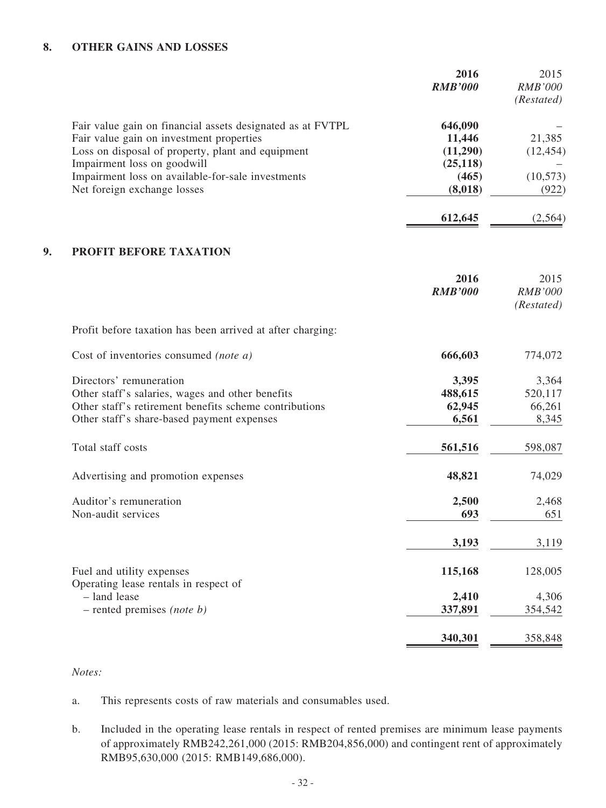### **8. OTHER GAINS AND LOSSES**

|                                                            | 2016<br><b>RMB'000</b> | 2015<br><i>RMB'000</i> |
|------------------------------------------------------------|------------------------|------------------------|
|                                                            |                        | (Restated)             |
| Fair value gain on financial assets designated as at FVTPL | 646,090                |                        |
| Fair value gain on investment properties                   | 11,446                 | 21,385                 |
| Loss on disposal of property, plant and equipment          | (11,290)               | (12, 454)              |
| Impairment loss on goodwill                                | (25, 118)              |                        |
| Impairment loss on available-for-sale investments          | (465)                  | (10, 573)              |
| Net foreign exchange losses                                | (8,018)                | (922)                  |
|                                                            | 612,645                | (2,564)                |

## **9. PROFIT BEFORE TAXATION**

|                                                            | 2016<br><b>RMB'000</b> | 2015<br><b>RMB'000</b><br>(Restated) |
|------------------------------------------------------------|------------------------|--------------------------------------|
| Profit before taxation has been arrived at after charging: |                        |                                      |
| Cost of inventories consumed <i>(note a)</i>               | 666,603                | 774,072                              |
| Directors' remuneration                                    | 3,395                  | 3,364                                |
| Other staff's salaries, wages and other benefits           | 488,615                | 520,117                              |
| Other staff's retirement benefits scheme contributions     | 62,945                 | 66,261                               |
| Other staff's share-based payment expenses                 | 6,561                  | 8,345                                |
| Total staff costs                                          | 561,516                | 598,087                              |
| Advertising and promotion expenses                         | 48,821                 | 74,029                               |
| Auditor's remuneration                                     | 2,500                  | 2,468                                |
| Non-audit services                                         | 693                    | 651                                  |
|                                                            | 3,193                  | 3,119                                |
| Fuel and utility expenses                                  | 115,168                | 128,005                              |
| Operating lease rentals in respect of                      |                        |                                      |
| - land lease                                               | 2,410                  | 4,306                                |
| $-$ rented premises <i>(note b)</i>                        | 337,891                | 354,542                              |
|                                                            | 340,301                | 358,848                              |

## *Notes:*

- a. This represents costs of raw materials and consumables used.
- b. Included in the operating lease rentals in respect of rented premises are minimum lease payments of approximately RMB242,261,000 (2015: RMB204,856,000) and contingent rent of approximately RMB95,630,000 (2015: RMB149,686,000).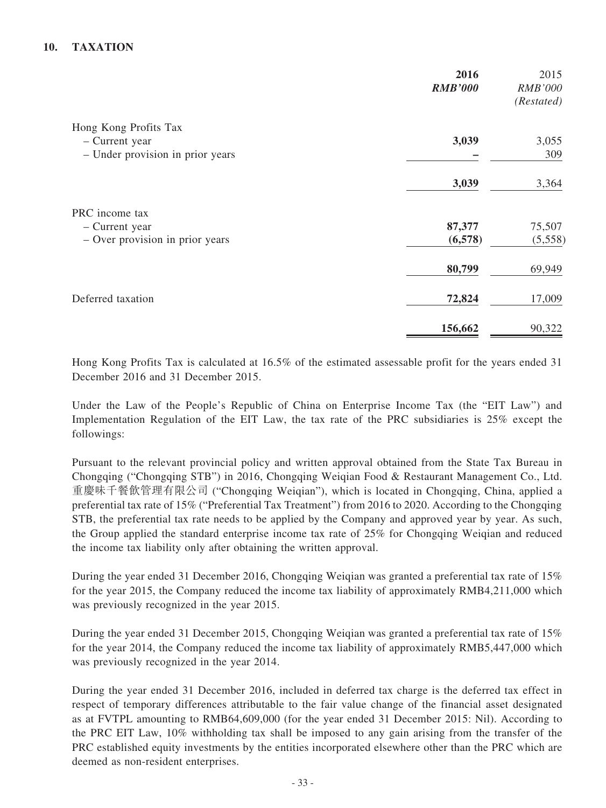### **10. TAXATION**

|                                  | 2016<br><b>RMB'000</b> | 2015<br><b>RMB'000</b><br>(Restated) |
|----------------------------------|------------------------|--------------------------------------|
| Hong Kong Profits Tax            |                        |                                      |
| - Current year                   | 3,039                  | 3,055                                |
| - Under provision in prior years |                        | 309                                  |
|                                  | 3,039                  | 3,364                                |
| PRC income tax                   |                        |                                      |
| - Current year                   | 87,377                 | 75,507                               |
| - Over provision in prior years  | (6,578)                | (5,558)                              |
|                                  | 80,799                 | 69,949                               |
| Deferred taxation                | 72,824                 | 17,009                               |
|                                  | 156,662                | 90,322                               |

Hong Kong Profits Tax is calculated at 16.5% of the estimated assessable profit for the years ended 31 December 2016 and 31 December 2015.

Under the Law of the People's Republic of China on Enterprise Income Tax (the "EIT Law") and Implementation Regulation of the EIT Law, the tax rate of the PRC subsidiaries is 25% except the followings:

Pursuant to the relevant provincial policy and written approval obtained from the State Tax Bureau in Chongqing ("Chongqing STB") in 2016, Chongqing Weiqian Food & Restaurant Management Co., Ltd. 重慶味千餐飲管理有限公司 ("Chongqing Weiqian"), which is located in Chongqing, China, applied a preferential tax rate of 15% ("Preferential Tax Treatment") from 2016 to 2020. According to the Chongqing STB, the preferential tax rate needs to be applied by the Company and approved year by year. As such, the Group applied the standard enterprise income tax rate of 25% for Chongqing Weiqian and reduced the income tax liability only after obtaining the written approval.

During the year ended 31 December 2016, Chongqing Weiqian was granted a preferential tax rate of 15% for the year 2015, the Company reduced the income tax liability of approximately RMB4,211,000 which was previously recognized in the year 2015.

During the year ended 31 December 2015, Chongqing Weiqian was granted a preferential tax rate of 15% for the year 2014, the Company reduced the income tax liability of approximately RMB5,447,000 which was previously recognized in the year 2014.

During the year ended 31 December 2016, included in deferred tax charge is the deferred tax effect in respect of temporary differences attributable to the fair value change of the financial asset designated as at FVTPL amounting to RMB64,609,000 (for the year ended 31 December 2015: Nil). According to the PRC EIT Law, 10% withholding tax shall be imposed to any gain arising from the transfer of the PRC established equity investments by the entities incorporated elsewhere other than the PRC which are deemed as non-resident enterprises.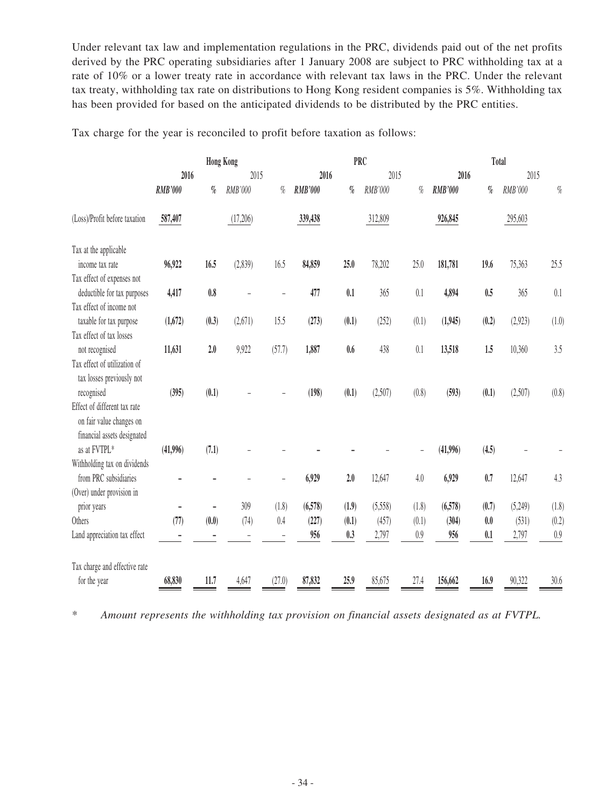Under relevant tax law and implementation regulations in the PRC, dividends paid out of the net profits derived by the PRC operating subsidiaries after 1 January 2008 are subject to PRC withholding tax at a rate of 10% or a lower treaty rate in accordance with relevant tax laws in the PRC. Under the relevant tax treaty, withholding tax rate on distributions to Hong Kong resident companies is 5%. Withholding tax has been provided for based on the anticipated dividends to be distributed by the PRC entities.

|                               | <b>Hong Kong</b> |       |          |        | <b>PRC</b>     |       |         | <b>Total</b> |                |       |         |       |
|-------------------------------|------------------|-------|----------|--------|----------------|-------|---------|--------------|----------------|-------|---------|-------|
|                               | 2016             |       | 2015     |        | 2016           |       | 2015    |              | 2016           |       | 2015    |       |
|                               | <b>RMB'000</b>   | $\%$  | RMB'000  | $\%$   | <b>RMB'000</b> | $\%$  | RMB'000 | $\%$         | <b>RMB'000</b> | $\%$  | RMB'000 | $\%$  |
| (Loss)/Profit before taxation | 587,407          |       | (17,206) |        | 339,438        |       | 312,809 |              | 926,845        |       | 295,603 |       |
| Tax at the applicable         |                  |       |          |        |                |       |         |              |                |       |         |       |
| income tax rate               | 96,922           | 16.5  | (2,839)  | 16.5   | 84,859         | 25.0  | 78,202  | 25.0         | 181,781        | 19.6  | 75,363  | 25.5  |
| Tax effect of expenses not    |                  |       |          |        |                |       |         |              |                |       |         |       |
| deductible for tax purposes   | 4,417            | 0.8   |          |        | 477            | 0.1   | 365     | 0.1          | 4,894          | 0.5   | 365     | 0.1   |
| Tax effect of income not      |                  |       |          |        |                |       |         |              |                |       |         |       |
| taxable for tax purpose       | (1,672)          | (0.3) | (2,671)  | 15.5   | (273)          | (0.1) | (252)   | (0.1)        | (1,945)        | (0.2) | (2,923) | (1.0) |
| Tax effect of tax losses      |                  |       |          |        |                |       |         |              |                |       |         |       |
| not recognised                | 11,631           | 2.0   | 9,922    | (57.7) | 1,887          | 0.6   | 438     | 0.1          | 13,518         | 1.5   | 10,360  | 3.5   |
| Tax effect of utilization of  |                  |       |          |        |                |       |         |              |                |       |         |       |
| tax losses previously not     |                  |       |          |        |                |       |         |              |                |       |         |       |
| recognised                    | (395)            | (0.1) |          |        | (198)          | (0.1) | (2,507) | (0.8)        | (593)          | (0.1) | (2,507) | (0.8) |
| Effect of different tax rate  |                  |       |          |        |                |       |         |              |                |       |         |       |
| on fair value changes on      |                  |       |          |        |                |       |         |              |                |       |         |       |
| financial assets designated   |                  |       |          |        |                |       |         |              |                |       |         |       |
| as at FVTPL*                  | (41,996)         | (7.1) |          |        |                |       |         |              | (41,996)       | (4.5) |         |       |
| Withholding tax on dividends  |                  |       |          |        |                |       |         |              |                |       |         |       |
| from PRC subsidiaries         |                  |       |          |        | 6,929          | 2.0   | 12,647  | 4.0          | 6,929          | 0.7   | 12,647  | 4.3   |
| (Over) under provision in     |                  |       |          |        |                |       |         |              |                |       |         |       |
| prior years                   |                  |       | 309      | (1.8)  | (6,578)        | (1.9) | (5,558) | (1.8)        | (6,578)        | (0.7) | (5,249) | (1.8) |
| Others                        | (77)             | (0.0) | (74)     | 0.4    | (227)          | (0.1) | (457)   | (0.1)        | (304)          | 0.0   | (531)   | (0.2) |
| Land appreciation tax effect  |                  |       |          |        | 956            | 0.3   | 2,797   | 0.9          | 956            | 0.1   | 2,797   | 0.9   |
| Tax charge and effective rate |                  |       |          |        |                |       |         |              |                |       |         |       |
| for the year                  | 68,830           | 11.7  | 4,647    | (27.0) | 87,832         | 25,9  | 85,675  | 27.4         | 156,662        | 16.9  | 90,322  | 30.6  |

Tax charge for the year is reconciled to profit before taxation as follows:

\* *Amount represents the withholding tax provision on financial assets designated as at FVTPL.*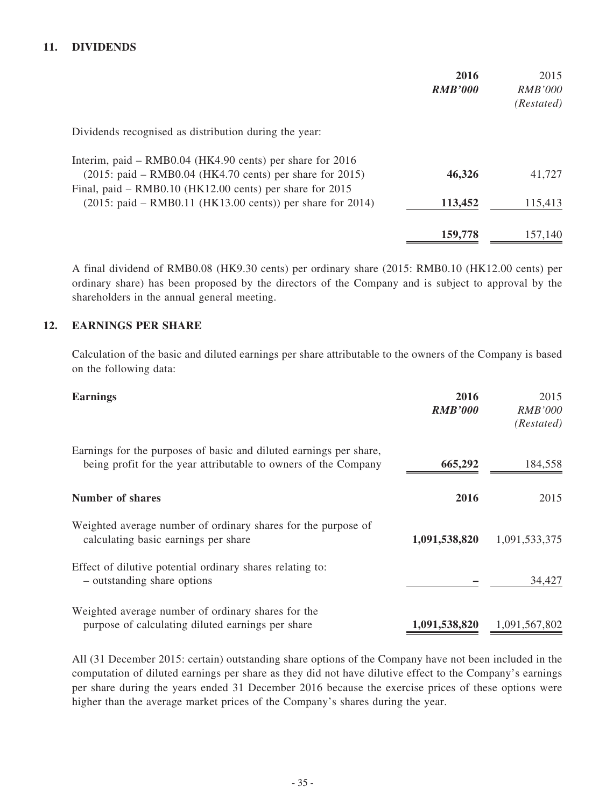### **11. DIVIDENDS**

|                                                                                                                          | 2016<br><b>RMB'000</b> | 2015<br><b>RMB'000</b><br>(Restated) |
|--------------------------------------------------------------------------------------------------------------------------|------------------------|--------------------------------------|
| Dividends recognised as distribution during the year:                                                                    |                        |                                      |
| Interim, paid – RMB0.04 (HK4.90 cents) per share for 2016<br>$(2015:$ paid – RMB0.04 (HK4.70 cents) per share for 2015)  | 46,326                 | 41,727                               |
| Final, paid – RMB0.10 (HK12.00 cents) per share for 2015<br>$(2015:$ paid – RMB0.11 (HK13.00 cents)) per share for 2014) | 113,452                | 115,413                              |
|                                                                                                                          | 159,778                | 157,140                              |

A final dividend of RMB0.08 (HK9.30 cents) per ordinary share (2015: RMB0.10 (HK12.00 cents) per ordinary share) has been proposed by the directors of the Company and is subject to approval by the shareholders in the annual general meeting.

#### **12. EARNINGS PER SHARE**

Calculation of the basic and diluted earnings per share attributable to the owners of the Company is based on the following data:

| <b>Earnings</b>                                                                                                                       | 2016<br><b>RMB'000</b> | 2015<br><b>RMB'000</b><br>(Restated) |
|---------------------------------------------------------------------------------------------------------------------------------------|------------------------|--------------------------------------|
| Earnings for the purposes of basic and diluted earnings per share,<br>being profit for the year attributable to owners of the Company | 665,292                | 184,558                              |
| <b>Number of shares</b>                                                                                                               | 2016                   | 2015                                 |
| Weighted average number of ordinary shares for the purpose of<br>calculating basic earnings per share                                 | 1,091,538,820          | 1,091,533,375                        |
| Effect of dilutive potential ordinary shares relating to:<br>- outstanding share options                                              |                        | 34,427                               |
| Weighted average number of ordinary shares for the<br>purpose of calculating diluted earnings per share                               | 1,091,538,820          | 1,091,567,802                        |

All (31 December 2015: certain) outstanding share options of the Company have not been included in the computation of diluted earnings per share as they did not have dilutive effect to the Company's earnings per share during the years ended 31 December 2016 because the exercise prices of these options were higher than the average market prices of the Company's shares during the year.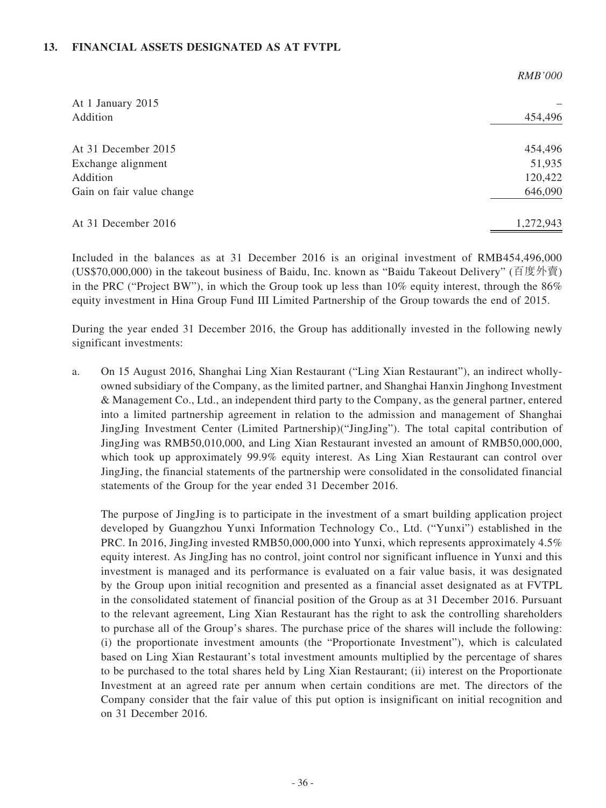#### **13. FINANCIAL ASSETS DESIGNATED AS AT FVTPL**

|                           | <b>RMB'000</b> |
|---------------------------|----------------|
| At 1 January 2015         |                |
| Addition                  | 454,496        |
| At 31 December 2015       | 454,496        |
| Exchange alignment        | 51,935         |
| Addition                  | 120,422        |
| Gain on fair value change | 646,090        |
| At 31 December 2016       | 1,272,943      |

Included in the balances as at 31 December 2016 is an original investment of RMB454,496,000 (US\$70,000,000) in the takeout business of Baidu, Inc. known as "Baidu Takeout Delivery" (百度外賣) in the PRC ("Project BW"), in which the Group took up less than 10% equity interest, through the 86% equity investment in Hina Group Fund III Limited Partnership of the Group towards the end of 2015.

During the year ended 31 December 2016, the Group has additionally invested in the following newly significant investments:

a. On 15 August 2016, Shanghai Ling Xian Restaurant ("Ling Xian Restaurant"), an indirect whollyowned subsidiary of the Company, as the limited partner, and Shanghai Hanxin Jinghong Investment & Management Co., Ltd., an independent third party to the Company, as the general partner, entered into a limited partnership agreement in relation to the admission and management of Shanghai JingJing Investment Center (Limited Partnership)("JingJing"). The total capital contribution of JingJing was RMB50,010,000, and Ling Xian Restaurant invested an amount of RMB50,000,000, which took up approximately 99.9% equity interest. As Ling Xian Restaurant can control over JingJing, the financial statements of the partnership were consolidated in the consolidated financial statements of the Group for the year ended 31 December 2016.

The purpose of JingJing is to participate in the investment of a smart building application project developed by Guangzhou Yunxi Information Technology Co., Ltd. ("Yunxi") established in the PRC. In 2016, JingJing invested RMB50,000,000 into Yunxi, which represents approximately 4.5% equity interest. As JingJing has no control, joint control nor significant influence in Yunxi and this investment is managed and its performance is evaluated on a fair value basis, it was designated by the Group upon initial recognition and presented as a financial asset designated as at FVTPL in the consolidated statement of financial position of the Group as at 31 December 2016. Pursuant to the relevant agreement, Ling Xian Restaurant has the right to ask the controlling shareholders to purchase all of the Group's shares. The purchase price of the shares will include the following: (i) the proportionate investment amounts (the "Proportionate Investment"), which is calculated based on Ling Xian Restaurant's total investment amounts multiplied by the percentage of shares to be purchased to the total shares held by Ling Xian Restaurant; (ii) interest on the Proportionate Investment at an agreed rate per annum when certain conditions are met. The directors of the Company consider that the fair value of this put option is insignificant on initial recognition and on 31 December 2016.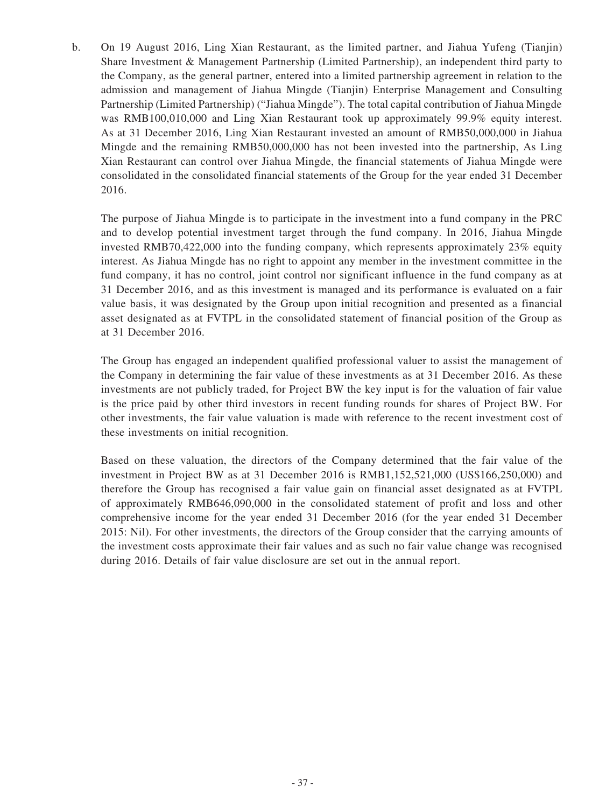b. On 19 August 2016, Ling Xian Restaurant, as the limited partner, and Jiahua Yufeng (Tianjin) Share Investment & Management Partnership (Limited Partnership), an independent third party to the Company, as the general partner, entered into a limited partnership agreement in relation to the admission and management of Jiahua Mingde (Tianjin) Enterprise Management and Consulting Partnership (Limited Partnership) ("Jiahua Mingde"). The total capital contribution of Jiahua Mingde was RMB100,010,000 and Ling Xian Restaurant took up approximately 99.9% equity interest. As at 31 December 2016, Ling Xian Restaurant invested an amount of RMB50,000,000 in Jiahua Mingde and the remaining RMB50,000,000 has not been invested into the partnership, As Ling Xian Restaurant can control over Jiahua Mingde, the financial statements of Jiahua Mingde were consolidated in the consolidated financial statements of the Group for the year ended 31 December 2016.

The purpose of Jiahua Mingde is to participate in the investment into a fund company in the PRC and to develop potential investment target through the fund company. In 2016, Jiahua Mingde invested RMB70,422,000 into the funding company, which represents approximately 23% equity interest. As Jiahua Mingde has no right to appoint any member in the investment committee in the fund company, it has no control, joint control nor significant influence in the fund company as at 31 December 2016, and as this investment is managed and its performance is evaluated on a fair value basis, it was designated by the Group upon initial recognition and presented as a financial asset designated as at FVTPL in the consolidated statement of financial position of the Group as at 31 December 2016.

The Group has engaged an independent qualified professional valuer to assist the management of the Company in determining the fair value of these investments as at 31 December 2016. As these investments are not publicly traded, for Project BW the key input is for the valuation of fair value is the price paid by other third investors in recent funding rounds for shares of Project BW. For other investments, the fair value valuation is made with reference to the recent investment cost of these investments on initial recognition.

Based on these valuation, the directors of the Company determined that the fair value of the investment in Project BW as at 31 December 2016 is RMB1,152,521,000 (US\$166,250,000) and therefore the Group has recognised a fair value gain on financial asset designated as at FVTPL of approximately RMB646,090,000 in the consolidated statement of profit and loss and other comprehensive income for the year ended 31 December 2016 (for the year ended 31 December 2015: Nil). For other investments, the directors of the Group consider that the carrying amounts of the investment costs approximate their fair values and as such no fair value change was recognised during 2016. Details of fair value disclosure are set out in the annual report.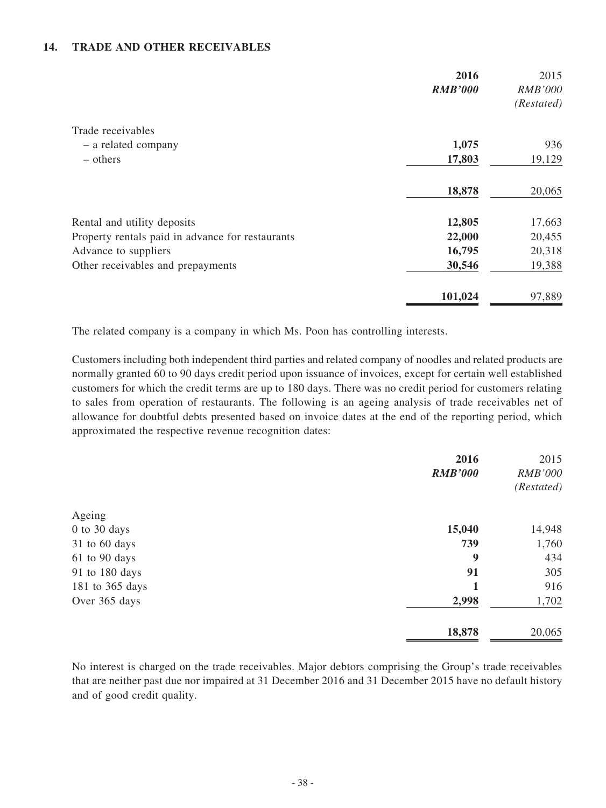#### **14. TRADE AND OTHER RECEIVABLES**

|                                                  | 2016<br><b>RMB'000</b> | 2015<br><b>RMB'000</b><br>(Restated) |
|--------------------------------------------------|------------------------|--------------------------------------|
| Trade receivables                                |                        |                                      |
| - a related company                              | 1,075                  | 936                                  |
| – others                                         | 17,803                 | 19,129                               |
|                                                  | 18,878                 | 20,065                               |
| Rental and utility deposits                      | 12,805                 | 17,663                               |
| Property rentals paid in advance for restaurants | 22,000                 | 20,455                               |
| Advance to suppliers                             | 16,795                 | 20,318                               |
| Other receivables and prepayments                | 30,546                 | 19,388                               |
|                                                  | 101,024                | 97,889                               |

The related company is a company in which Ms. Poon has controlling interests.

Customers including both independent third parties and related company of noodles and related products are normally granted 60 to 90 days credit period upon issuance of invoices, except for certain well established customers for which the credit terms are up to 180 days. There was no credit period for customers relating to sales from operation of restaurants. The following is an ageing analysis of trade receivables net of allowance for doubtful debts presented based on invoice dates at the end of the reporting period, which approximated the respective revenue recognition dates:

|                  | 2016           | 2015           |
|------------------|----------------|----------------|
|                  | <b>RMB'000</b> | <b>RMB'000</b> |
|                  |                | (Restated)     |
| Ageing           |                |                |
| $0$ to $30$ days | 15,040         | 14,948         |
| 31 to 60 days    | 739            | 1,760          |
| 61 to 90 days    | 9              | 434            |
| 91 to 180 days   | 91             | 305            |
| 181 to 365 days  |                | 916            |
| Over 365 days    | 2,998          | 1,702          |
|                  | 18,878         | 20,065         |

No interest is charged on the trade receivables. Major debtors comprising the Group's trade receivables that are neither past due nor impaired at 31 December 2016 and 31 December 2015 have no default history and of good credit quality.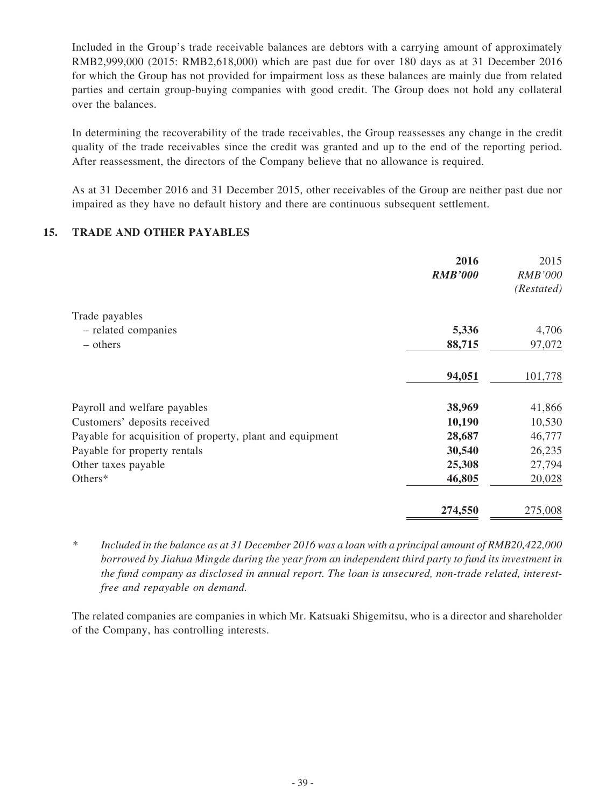Included in the Group's trade receivable balances are debtors with a carrying amount of approximately RMB2,999,000 (2015: RMB2,618,000) which are past due for over 180 days as at 31 December 2016 for which the Group has not provided for impairment loss as these balances are mainly due from related parties and certain group-buying companies with good credit. The Group does not hold any collateral over the balances.

In determining the recoverability of the trade receivables, the Group reassesses any change in the credit quality of the trade receivables since the credit was granted and up to the end of the reporting period. After reassessment, the directors of the Company believe that no allowance is required.

As at 31 December 2016 and 31 December 2015, other receivables of the Group are neither past due nor impaired as they have no default history and there are continuous subsequent settlement.

### **15. TRADE AND OTHER PAYABLES**

|                                                          | 2016<br><b>RMB'000</b> | 2015<br><b>RMB'000</b><br>(Restated) |
|----------------------------------------------------------|------------------------|--------------------------------------|
| Trade payables                                           |                        |                                      |
| - related companies                                      | 5,336                  | 4,706                                |
| $-$ others                                               | 88,715                 | 97,072                               |
|                                                          | 94,051                 | 101,778                              |
| Payroll and welfare payables                             | 38,969                 | 41,866                               |
| Customers' deposits received                             | 10,190                 | 10,530                               |
| Payable for acquisition of property, plant and equipment | 28,687                 | 46,777                               |
| Payable for property rentals                             | 30,540                 | 26,235                               |
| Other taxes payable                                      | 25,308                 | 27,794                               |
| Others*                                                  | 46,805                 | 20,028                               |
|                                                          | 274,550                | 275,008                              |

*\* Included in the balance as at 31 December 2016 was a loan with a principal amount of RMB20,422,000 borrowed by Jiahua Mingde during the year from an independent third party to fund its investment in the fund company as disclosed in annual report. The loan is unsecured, non-trade related, interestfree and repayable on demand.*

The related companies are companies in which Mr. Katsuaki Shigemitsu, who is a director and shareholder of the Company, has controlling interests.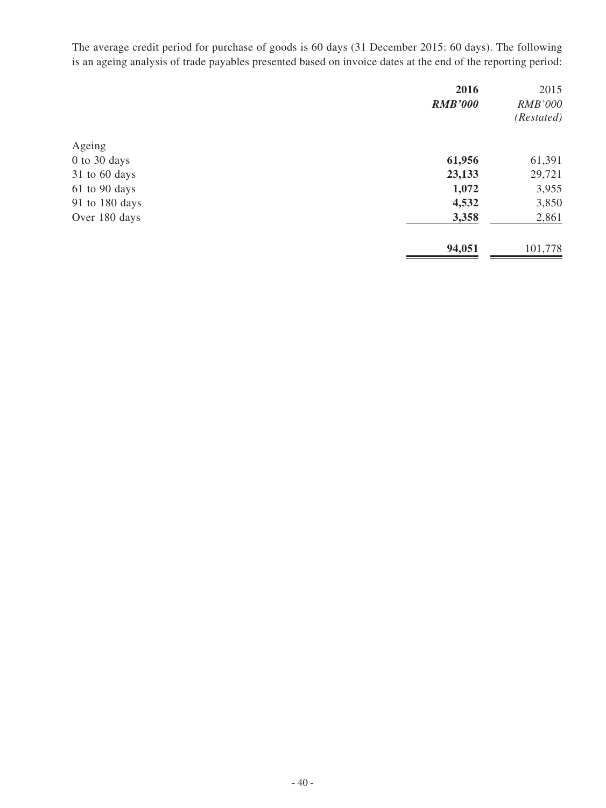The average credit period for purchase of goods is 60 days (31 December 2015: 60 days). The following is an ageing analysis of trade payables presented based on invoice dates at the end of the reporting period:

|                  | 2016           | 2015           |
|------------------|----------------|----------------|
|                  | <b>RMB'000</b> | <b>RMB'000</b> |
|                  |                | (Restated)     |
| Ageing           |                |                |
| $0$ to $30$ days | 61,956         | 61,391         |
| $31$ to 60 days  | 23,133         | 29,721         |
| $61$ to 90 days  | 1,072          | 3,955          |
| 91 to 180 days   | 4,532          | 3,850          |
| Over 180 days    | 3,358          | 2,861          |
|                  | 94,051         | 101,778        |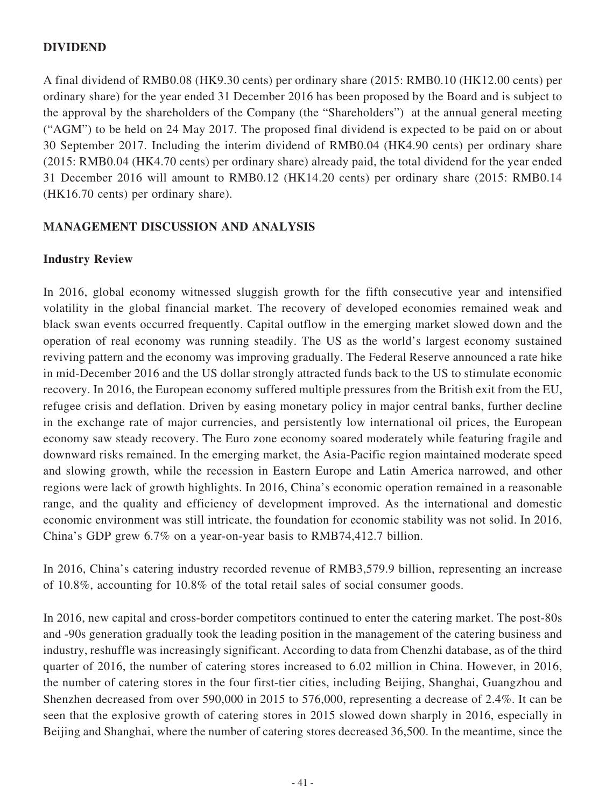## **DIVIDEND**

A final dividend of RMB0.08 (HK9.30 cents) per ordinary share (2015: RMB0.10 (HK12.00 cents) per ordinary share) for the year ended 31 December 2016 has been proposed by the Board and is subject to the approval by the shareholders of the Company (the "Shareholders") at the annual general meeting ("AGM") to be held on 24 May 2017. The proposed final dividend is expected to be paid on or about 30 September 2017. Including the interim dividend of RMB0.04 (HK4.90 cents) per ordinary share (2015: RMB0.04 (HK4.70 cents) per ordinary share) already paid, the total dividend for the year ended 31 December 2016 will amount to RMB0.12 (HK14.20 cents) per ordinary share (2015: RMB0.14 (HK16.70 cents) per ordinary share).

### **MANAGEMENT DISCUSSION AND ANALYSIS**

### **Industry Review**

In 2016, global economy witnessed sluggish growth for the fifth consecutive year and intensified volatility in the global financial market. The recovery of developed economies remained weak and black swan events occurred frequently. Capital outflow in the emerging market slowed down and the operation of real economy was running steadily. The US as the world's largest economy sustained reviving pattern and the economy was improving gradually. The Federal Reserve announced a rate hike in mid-December 2016 and the US dollar strongly attracted funds back to the US to stimulate economic recovery. In 2016, the European economy suffered multiple pressures from the British exit from the EU, refugee crisis and deflation. Driven by easing monetary policy in major central banks, further decline in the exchange rate of major currencies, and persistently low international oil prices, the European economy saw steady recovery. The Euro zone economy soared moderately while featuring fragile and downward risks remained. In the emerging market, the Asia-Pacific region maintained moderate speed and slowing growth, while the recession in Eastern Europe and Latin America narrowed, and other regions were lack of growth highlights. In 2016, China's economic operation remained in a reasonable range, and the quality and efficiency of development improved. As the international and domestic economic environment was still intricate, the foundation for economic stability was not solid. In 2016, China's GDP grew 6.7% on a year-on-year basis to RMB74,412.7 billion.

In 2016, China's catering industry recorded revenue of RMB3,579.9 billion, representing an increase of 10.8%, accounting for 10.8% of the total retail sales of social consumer goods.

In 2016, new capital and cross-border competitors continued to enter the catering market. The post-80s and -90s generation gradually took the leading position in the management of the catering business and industry, reshuffle was increasingly significant. According to data from Chenzhi database, as of the third quarter of 2016, the number of catering stores increased to 6.02 million in China. However, in 2016, the number of catering stores in the four first-tier cities, including Beijing, Shanghai, Guangzhou and Shenzhen decreased from over 590,000 in 2015 to 576,000, representing a decrease of 2.4%. It can be seen that the explosive growth of catering stores in 2015 slowed down sharply in 2016, especially in Beijing and Shanghai, where the number of catering stores decreased 36,500. In the meantime, since the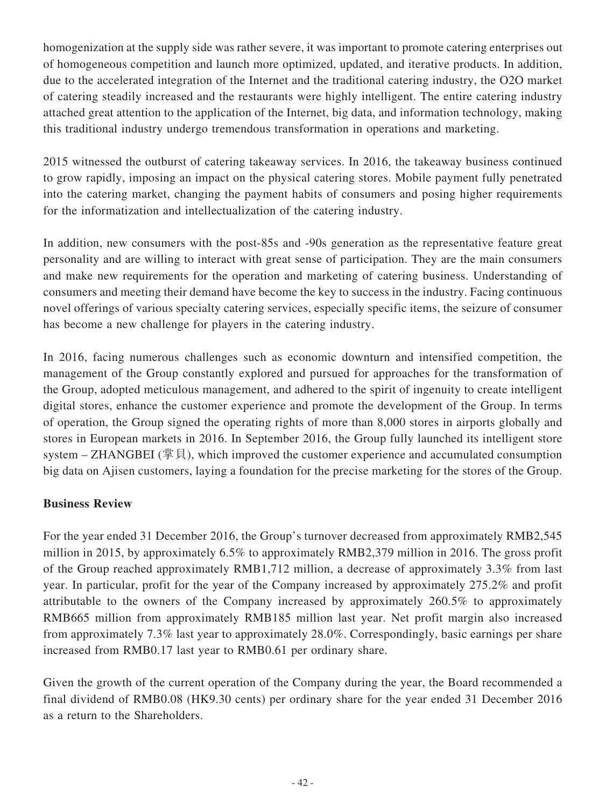homogenization at the supply side was rather severe, it was important to promote catering enterprises out of homogeneous competition and launch more optimized, updated, and iterative products. In addition, due to the accelerated integration of the Internet and the traditional catering industry, the O2O market of catering steadily increased and the restaurants were highly intelligent. The entire catering industry attached great attention to the application of the Internet, big data, and information technology, making this traditional industry undergo tremendous transformation in operations and marketing.

2015 witnessed the outburst of catering takeaway services. In 2016, the takeaway business continued to grow rapidly, imposing an impact on the physical catering stores. Mobile payment fully penetrated into the catering market, changing the payment habits of consumers and posing higher requirements for the informatization and intellectualization of the catering industry.

In addition, new consumers with the post-85s and -90s generation as the representative feature great personality and are willing to interact with great sense of participation. They are the main consumers and make new requirements for the operation and marketing of catering business. Understanding of consumers and meeting their demand have become the key to success in the industry. Facing continuous novel offerings of various specialty catering services, especially specific items, the seizure of consumer has become a new challenge for players in the catering industry.

In 2016, facing numerous challenges such as economic downturn and intensified competition, the management of the Group constantly explored and pursued for approaches for the transformation of the Group, adopted meticulous management, and adhered to the spirit of ingenuity to create intelligent digital stores, enhance the customer experience and promote the development of the Group. In terms of operation, the Group signed the operating rights of more than 8,000 stores in airports globally and stores in European markets in 2016. In September 2016, the Group fully launched its intelligent store system – ZHANGBEI (掌貝), which improved the customer experience and accumulated consumption big data on Ajisen customers, laying a foundation for the precise marketing for the stores of the Group.

## **Business Review**

For the year ended 31 December 2016, the Group's turnover decreased from approximately RMB2,545 million in 2015, by approximately 6.5% to approximately RMB2,379 million in 2016. The gross profit of the Group reached approximately RMB1,712 million, a decrease of approximately 3.3% from last year. In particular, profit for the year of the Company increased by approximately 275.2% and profit attributable to the owners of the Company increased by approximately 260.5% to approximately RMB665 million from approximately RMB185 million last year. Net profit margin also increased from approximately 7.3% last year to approximately 28.0%. Correspondingly, basic earnings per share increased from RMB0.17 last year to RMB0.61 per ordinary share.

Given the growth of the current operation of the Company during the year, the Board recommended a final dividend of RMB0.08 (HK9.30 cents) per ordinary share for the year ended 31 December 2016 as a return to the Shareholders.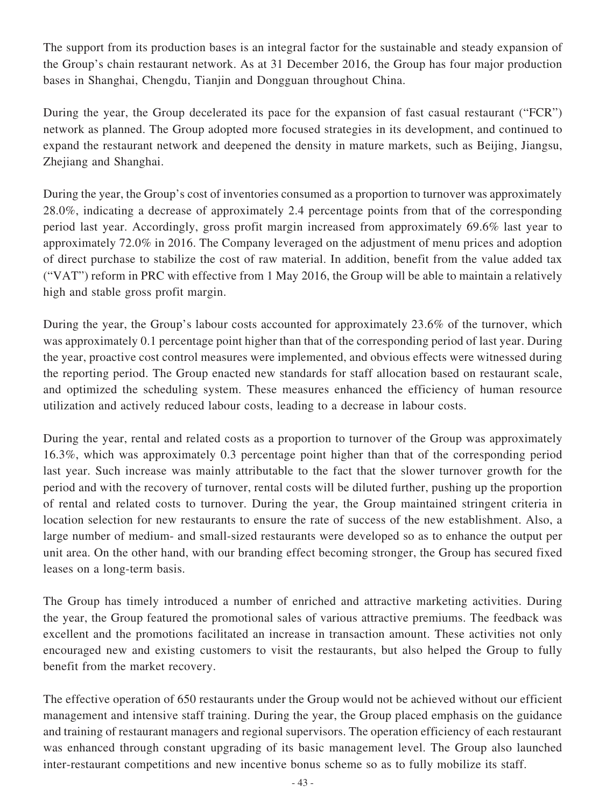The support from its production bases is an integral factor for the sustainable and steady expansion of the Group's chain restaurant network. As at 31 December 2016, the Group has four major production bases in Shanghai, Chengdu, Tianjin and Dongguan throughout China.

During the year, the Group decelerated its pace for the expansion of fast casual restaurant ("FCR") network as planned. The Group adopted more focused strategies in its development, and continued to expand the restaurant network and deepened the density in mature markets, such as Beijing, Jiangsu, Zhejiang and Shanghai.

During the year, the Group's cost of inventories consumed as a proportion to turnover was approximately 28.0%, indicating a decrease of approximately 2.4 percentage points from that of the corresponding period last year. Accordingly, gross profit margin increased from approximately 69.6% last year to approximately 72.0% in 2016. The Company leveraged on the adjustment of menu prices and adoption of direct purchase to stabilize the cost of raw material. In addition, benefit from the value added tax ("VAT") reform in PRC with effective from 1 May 2016, the Group will be able to maintain a relatively high and stable gross profit margin.

During the year, the Group's labour costs accounted for approximately 23.6% of the turnover, which was approximately 0.1 percentage point higher than that of the corresponding period of last year. During the year, proactive cost control measures were implemented, and obvious effects were witnessed during the reporting period. The Group enacted new standards for staff allocation based on restaurant scale, and optimized the scheduling system. These measures enhanced the efficiency of human resource utilization and actively reduced labour costs, leading to a decrease in labour costs.

During the year, rental and related costs as a proportion to turnover of the Group was approximately 16.3%, which was approximately 0.3 percentage point higher than that of the corresponding period last year. Such increase was mainly attributable to the fact that the slower turnover growth for the period and with the recovery of turnover, rental costs will be diluted further, pushing up the proportion of rental and related costs to turnover. During the year, the Group maintained stringent criteria in location selection for new restaurants to ensure the rate of success of the new establishment. Also, a large number of medium- and small-sized restaurants were developed so as to enhance the output per unit area. On the other hand, with our branding effect becoming stronger, the Group has secured fixed leases on a long-term basis.

The Group has timely introduced a number of enriched and attractive marketing activities. During the year, the Group featured the promotional sales of various attractive premiums. The feedback was excellent and the promotions facilitated an increase in transaction amount. These activities not only encouraged new and existing customers to visit the restaurants, but also helped the Group to fully benefit from the market recovery.

The effective operation of 650 restaurants under the Group would not be achieved without our efficient management and intensive staff training. During the year, the Group placed emphasis on the guidance and training of restaurant managers and regional supervisors. The operation efficiency of each restaurant was enhanced through constant upgrading of its basic management level. The Group also launched inter-restaurant competitions and new incentive bonus scheme so as to fully mobilize its staff.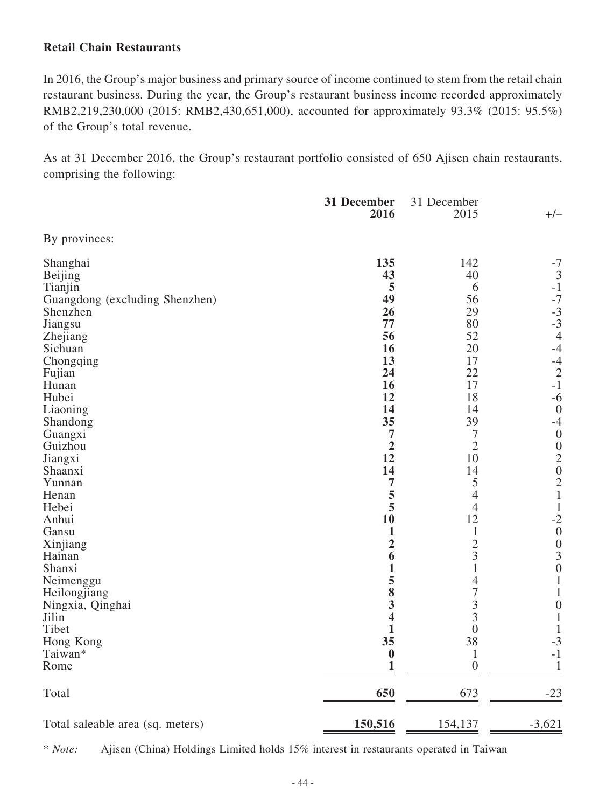### **Retail Chain Restaurants**

In 2016, the Group's major business and primary source of income continued to stem from the retail chain restaurant business. During the year, the Group's restaurant business income recorded approximately RMB2,219,230,000 (2015: RMB2,430,651,000), accounted for approximately 93.3% (2015: 95.5%) of the Group's total revenue.

As at 31 December 2016, the Group's restaurant portfolio consisted of 650 Ajisen chain restaurants, comprising the following:

|                                  | 31 December<br>2016     | 31 December<br>2015 | $+/-$                                |
|----------------------------------|-------------------------|---------------------|--------------------------------------|
| By provinces:                    |                         |                     |                                      |
| Shanghai                         | 135                     | 142                 | $-7$                                 |
| Beijing                          | 43                      | 40                  | $\mathfrak{Z}$                       |
| Tianjin                          | 5                       | 6                   | $-1$                                 |
| Guangdong (excluding Shenzhen)   | 49                      | 56                  | $-7$                                 |
| Shenzhen                         | 26                      | 29                  | $-3$                                 |
| Jiangsu                          | 77                      | 80                  | $-3$                                 |
| Zhejiang                         | 56                      | 52                  | $\overline{4}$                       |
| Sichuan                          | 16                      | 20                  | $-4$                                 |
| Chongqing                        | 13                      | 17                  | $-4$                                 |
| Fujian                           | 24                      | 22                  | $\overline{2}$                       |
| Hunan                            | 16                      | 17                  | $\mathbf{-1}$                        |
| Hubei                            | 12                      | 18                  | $-6$                                 |
| Liaoning                         | 14                      | 14                  | $\theta$                             |
| Shandong                         | 35                      | 39                  | $-4$                                 |
| Guangxi                          | 7                       | $\boldsymbol{7}$    | $\boldsymbol{0}$                     |
| Guizhou                          | $\overline{2}$          | $\overline{2}$      | $\boldsymbol{0}$                     |
| Jiangxi                          | 12                      | 10                  |                                      |
| Shaanxi                          | 14                      | 14                  | $\begin{matrix} 2 \\ 0 \end{matrix}$ |
| Yunnan                           | 7                       | 5                   | $\frac{2}{1}$                        |
| Henan                            | 5                       | $\overline{4}$      |                                      |
| Hebei                            | 5                       | $\overline{4}$      | $\,1\,$                              |
| Anhui                            | 10                      | 12                  | $-2$                                 |
| Gansu                            | 1                       | $\mathbf{1}$        | $\boldsymbol{0}$                     |
| Xinjiang                         | $\overline{2}$          | $\overline{c}$      | $\boldsymbol{0}$                     |
| Hainan                           | 6                       | 3                   | $\mathfrak{Z}$                       |
| Shanxi                           | 1                       | $\mathbf{1}$        | $\boldsymbol{0}$                     |
| Neimenggu                        | 5                       | $\overline{4}$      | $\mathbf{1}$                         |
| Heilongjiang                     | 8                       | $\overline{7}$      | $\mathbf{1}$                         |
| Ningxia, Qinghai                 | $\overline{\mathbf{3}}$ | 3                   | $\boldsymbol{0}$                     |
| Jilin                            | 4                       | 3                   | $\,1\,$                              |
| Tibet                            | $\mathbf{1}$            | $\boldsymbol{0}$    | $\mathbf{1}$                         |
| Hong Kong                        | 35                      | 38                  | $-3$                                 |
| Taiwan*                          | $\boldsymbol{0}$        | $\mathbf{1}$        | $-1$                                 |
| Rome                             | $\mathbf{1}$            | $\boldsymbol{0}$    | $\mathbf{1}$                         |
| Total                            | 650                     | 673                 | $-23$                                |
| Total saleable area (sq. meters) | 150,516                 | 154,137             | $-3,621$                             |

\* *Note:* Ajisen (China) Holdings Limited holds 15% interest in restaurants operated in Taiwan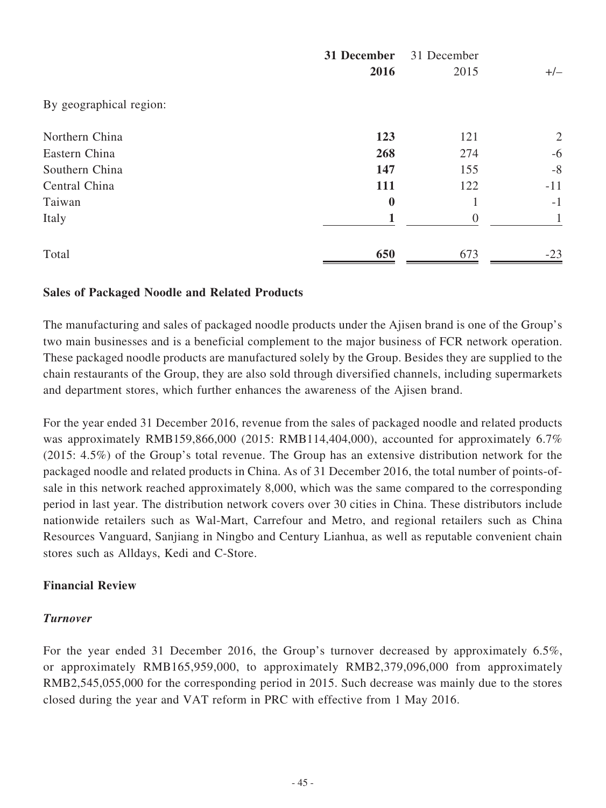|                         | 31 December<br>2016 | 31 December<br>2015 | $+/-$          |  |
|-------------------------|---------------------|---------------------|----------------|--|
| By geographical region: |                     |                     |                |  |
| Northern China          | 123                 | 121                 | $\overline{2}$ |  |
| Eastern China           | 268                 | 274                 | $-6$           |  |
| Southern China          | 147                 | 155                 | $-8$           |  |
| Central China           | 111                 | 122                 | $-11$          |  |
| Taiwan                  | $\boldsymbol{0}$    |                     | $-1$           |  |
| Italy                   |                     | 0                   |                |  |
| Total                   | 650                 | 673                 | $-23$          |  |

### **Sales of Packaged Noodle and Related Products**

The manufacturing and sales of packaged noodle products under the Ajisen brand is one of the Group's two main businesses and is a beneficial complement to the major business of FCR network operation. These packaged noodle products are manufactured solely by the Group. Besides they are supplied to the chain restaurants of the Group, they are also sold through diversified channels, including supermarkets and department stores, which further enhances the awareness of the Ajisen brand.

For the year ended 31 December 2016, revenue from the sales of packaged noodle and related products was approximately RMB159,866,000 (2015: RMB114,404,000), accounted for approximately 6.7% (2015: 4.5%) of the Group's total revenue. The Group has an extensive distribution network for the packaged noodle and related products in China. As of 31 December 2016, the total number of points-ofsale in this network reached approximately 8,000, which was the same compared to the corresponding period in last year. The distribution network covers over 30 cities in China. These distributors include nationwide retailers such as Wal-Mart, Carrefour and Metro, and regional retailers such as China Resources Vanguard, Sanjiang in Ningbo and Century Lianhua, as well as reputable convenient chain stores such as Alldays, Kedi and C-Store.

## **Financial Review**

### *Turnover*

For the year ended 31 December 2016, the Group's turnover decreased by approximately 6.5%, or approximately RMB165,959,000, to approximately RMB2,379,096,000 from approximately RMB2,545,055,000 for the corresponding period in 2015. Such decrease was mainly due to the stores closed during the year and VAT reform in PRC with effective from 1 May 2016.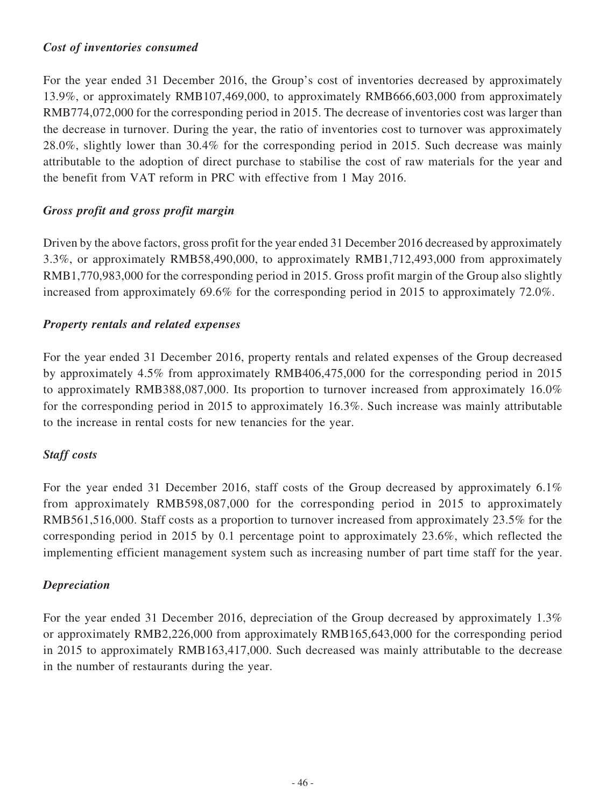## *Cost of inventories consumed*

For the year ended 31 December 2016, the Group's cost of inventories decreased by approximately 13.9%, or approximately RMB107,469,000, to approximately RMB666,603,000 from approximately RMB774,072,000 for the corresponding period in 2015. The decrease of inventories cost was larger than the decrease in turnover. During the year, the ratio of inventories cost to turnover was approximately 28.0%, slightly lower than 30.4% for the corresponding period in 2015. Such decrease was mainly attributable to the adoption of direct purchase to stabilise the cost of raw materials for the year and the benefit from VAT reform in PRC with effective from 1 May 2016.

## *Gross profit and gross profit margin*

Driven by the above factors, gross profit for the year ended 31 December 2016 decreased by approximately 3.3%, or approximately RMB58,490,000, to approximately RMB1,712,493,000 from approximately RMB1,770,983,000 for the corresponding period in 2015. Gross profit margin of the Group also slightly increased from approximately 69.6% for the corresponding period in 2015 to approximately 72.0%.

## *Property rentals and related expenses*

For the year ended 31 December 2016, property rentals and related expenses of the Group decreased by approximately 4.5% from approximately RMB406,475,000 for the corresponding period in 2015 to approximately RMB388,087,000. Its proportion to turnover increased from approximately 16.0% for the corresponding period in 2015 to approximately 16.3%. Such increase was mainly attributable to the increase in rental costs for new tenancies for the year.

## *Staff costs*

For the year ended 31 December 2016, staff costs of the Group decreased by approximately 6.1% from approximately RMB598,087,000 for the corresponding period in 2015 to approximately RMB561,516,000. Staff costs as a proportion to turnover increased from approximately 23.5% for the corresponding period in 2015 by 0.1 percentage point to approximately 23.6%, which reflected the implementing efficient management system such as increasing number of part time staff for the year.

## *Depreciation*

For the year ended 31 December 2016, depreciation of the Group decreased by approximately 1.3% or approximately RMB2,226,000 from approximately RMB165,643,000 for the corresponding period in 2015 to approximately RMB163,417,000. Such decreased was mainly attributable to the decrease in the number of restaurants during the year.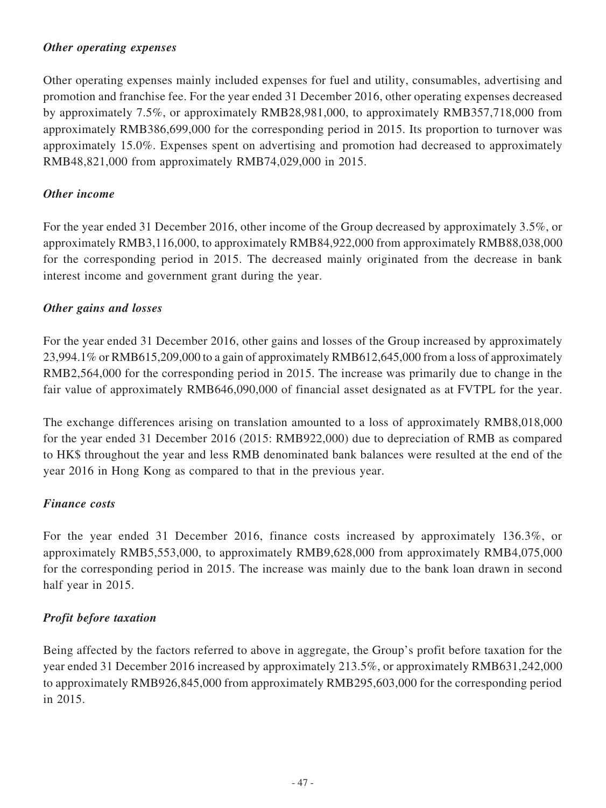## *Other operating expenses*

Other operating expenses mainly included expenses for fuel and utility, consumables, advertising and promotion and franchise fee. For the year ended 31 December 2016, other operating expenses decreased by approximately 7.5%, or approximately RMB28,981,000, to approximately RMB357,718,000 from approximately RMB386,699,000 for the corresponding period in 2015. Its proportion to turnover was approximately 15.0%. Expenses spent on advertising and promotion had decreased to approximately RMB48,821,000 from approximately RMB74,029,000 in 2015.

## *Other income*

For the year ended 31 December 2016, other income of the Group decreased by approximately 3.5%, or approximately RMB3,116,000, to approximately RMB84,922,000 from approximately RMB88,038,000 for the corresponding period in 2015. The decreased mainly originated from the decrease in bank interest income and government grant during the year.

### *Other gains and losses*

For the year ended 31 December 2016, other gains and losses of the Group increased by approximately 23,994.1% or RMB615,209,000 to a gain of approximately RMB612,645,000 from a loss of approximately RMB2,564,000 for the corresponding period in 2015. The increase was primarily due to change in the fair value of approximately RMB646,090,000 of financial asset designated as at FVTPL for the year.

The exchange differences arising on translation amounted to a loss of approximately RMB8,018,000 for the year ended 31 December 2016 (2015: RMB922,000) due to depreciation of RMB as compared to HK\$ throughout the year and less RMB denominated bank balances were resulted at the end of the year 2016 in Hong Kong as compared to that in the previous year.

## *Finance costs*

For the year ended 31 December 2016, finance costs increased by approximately 136.3%, or approximately RMB5,553,000, to approximately RMB9,628,000 from approximately RMB4,075,000 for the corresponding period in 2015. The increase was mainly due to the bank loan drawn in second half year in 2015.

## *Profit before taxation*

Being affected by the factors referred to above in aggregate, the Group's profit before taxation for the year ended 31 December 2016 increased by approximately 213.5%, or approximately RMB631,242,000 to approximately RMB926,845,000 from approximately RMB295,603,000 for the corresponding period in 2015.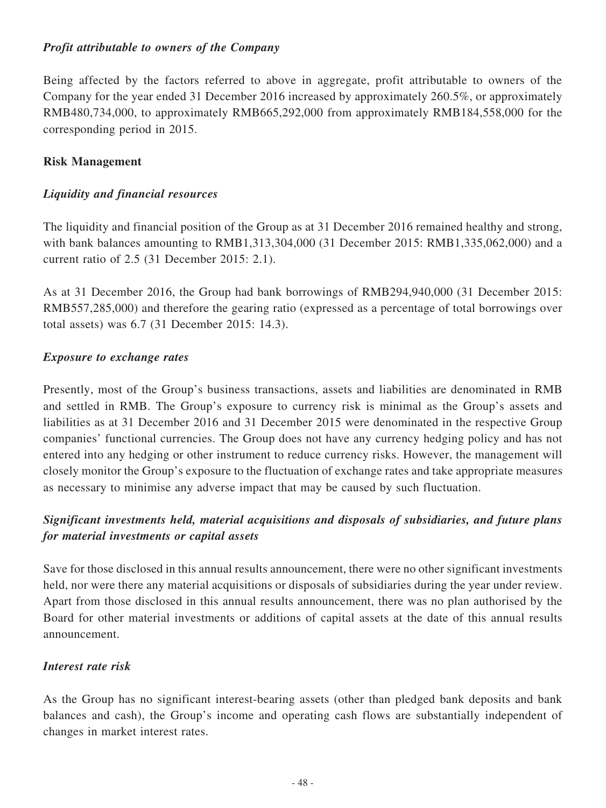## *Profit attributable to owners of the Company*

Being affected by the factors referred to above in aggregate, profit attributable to owners of the Company for the year ended 31 December 2016 increased by approximately 260.5%, or approximately RMB480,734,000, to approximately RMB665,292,000 from approximately RMB184,558,000 for the corresponding period in 2015.

## **Risk Management**

## *Liquidity and financial resources*

The liquidity and financial position of the Group as at 31 December 2016 remained healthy and strong, with bank balances amounting to RMB1,313,304,000 (31 December 2015: RMB1,335,062,000) and a current ratio of 2.5 (31 December 2015: 2.1).

As at 31 December 2016, the Group had bank borrowings of RMB294,940,000 (31 December 2015: RMB557,285,000) and therefore the gearing ratio (expressed as a percentage of total borrowings over total assets) was 6.7 (31 December 2015: 14.3).

### *Exposure to exchange rates*

Presently, most of the Group's business transactions, assets and liabilities are denominated in RMB and settled in RMB. The Group's exposure to currency risk is minimal as the Group's assets and liabilities as at 31 December 2016 and 31 December 2015 were denominated in the respective Group companies' functional currencies. The Group does not have any currency hedging policy and has not entered into any hedging or other instrument to reduce currency risks. However, the management will closely monitor the Group's exposure to the fluctuation of exchange rates and take appropriate measures as necessary to minimise any adverse impact that may be caused by such fluctuation.

## *Significant investments held, material acquisitions and disposals of subsidiaries, and future plans for material investments or capital assets*

Save for those disclosed in this annual results announcement, there were no other significant investments held, nor were there any material acquisitions or disposals of subsidiaries during the year under review. Apart from those disclosed in this annual results announcement, there was no plan authorised by the Board for other material investments or additions of capital assets at the date of this annual results announcement.

### *Interest rate risk*

As the Group has no significant interest-bearing assets (other than pledged bank deposits and bank balances and cash), the Group's income and operating cash flows are substantially independent of changes in market interest rates.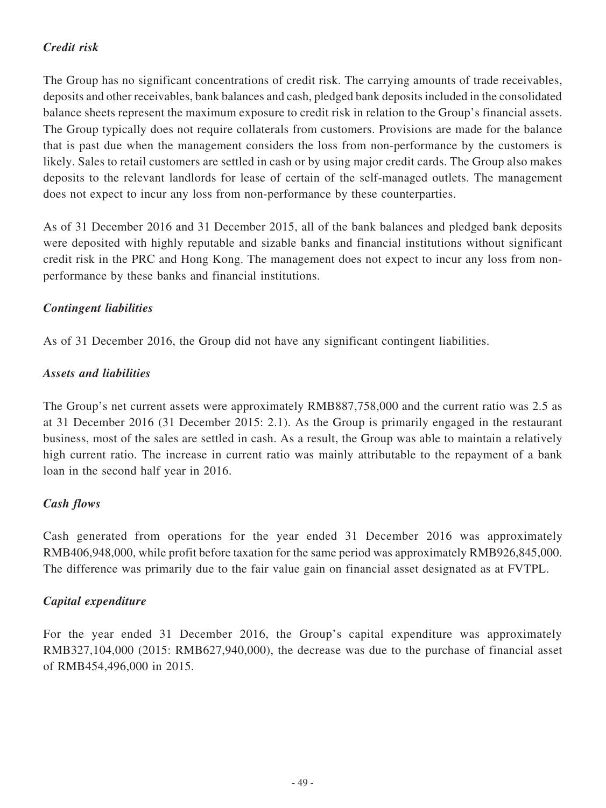## *Credit risk*

The Group has no significant concentrations of credit risk. The carrying amounts of trade receivables, deposits and other receivables, bank balances and cash, pledged bank deposits included in the consolidated balance sheets represent the maximum exposure to credit risk in relation to the Group's financial assets. The Group typically does not require collaterals from customers. Provisions are made for the balance that is past due when the management considers the loss from non-performance by the customers is likely. Sales to retail customers are settled in cash or by using major credit cards. The Group also makes deposits to the relevant landlords for lease of certain of the self-managed outlets. The management does not expect to incur any loss from non-performance by these counterparties.

As of 31 December 2016 and 31 December 2015, all of the bank balances and pledged bank deposits were deposited with highly reputable and sizable banks and financial institutions without significant credit risk in the PRC and Hong Kong. The management does not expect to incur any loss from nonperformance by these banks and financial institutions.

## *Contingent liabilities*

As of 31 December 2016, the Group did not have any significant contingent liabilities.

## *Assets and liabilities*

The Group's net current assets were approximately RMB887,758,000 and the current ratio was 2.5 as at 31 December 2016 (31 December 2015: 2.1). As the Group is primarily engaged in the restaurant business, most of the sales are settled in cash. As a result, the Group was able to maintain a relatively high current ratio. The increase in current ratio was mainly attributable to the repayment of a bank loan in the second half year in 2016.

## *Cash flows*

Cash generated from operations for the year ended 31 December 2016 was approximately RMB406,948,000, while profit before taxation for the same period was approximately RMB926,845,000. The difference was primarily due to the fair value gain on financial asset designated as at FVTPL.

## *Capital expenditure*

For the year ended 31 December 2016, the Group's capital expenditure was approximately RMB327,104,000 (2015: RMB627,940,000), the decrease was due to the purchase of financial asset of RMB454,496,000 in 2015.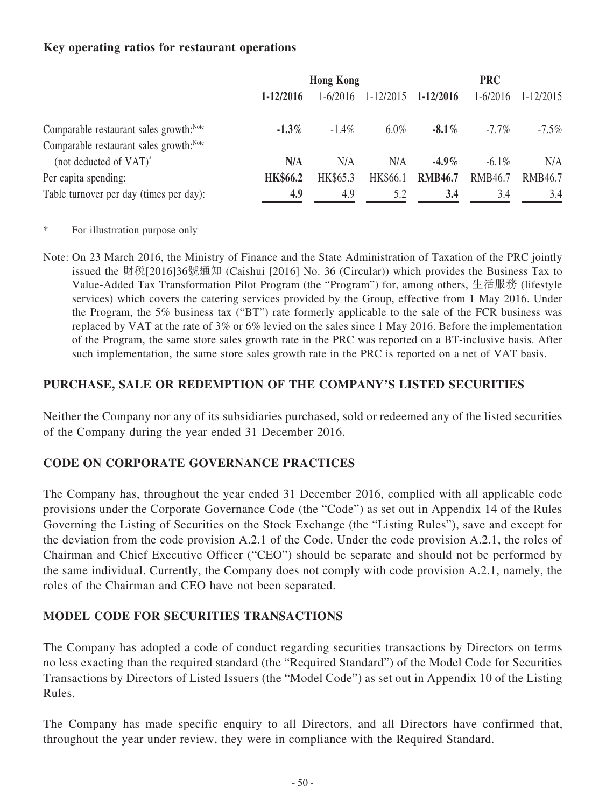## **Key operating ratios for restaurant operations**

| <b>Hong Kong</b> |          |           | <b>PRC</b>     |                |                |
|------------------|----------|-----------|----------------|----------------|----------------|
| 1-12/2016        | 1-6/2016 | 1-12/2015 | 1-12/2016      | $1 - 6/2016$   | 1-12/2015      |
| $-1.3\%$         | $-1.4\%$ | $6.0\%$   | $-8.1\%$       | $-7.7\%$       | $-7.5\%$       |
|                  |          |           |                |                |                |
| N/A              | N/A      | N/A       | $-4.9\%$       | $-6.1\%$       | N/A            |
| <b>HK\$66.2</b>  | HK\$65.3 | HK\$66.1  | <b>RMB46.7</b> | <b>RMB46.7</b> | <b>RMB46.7</b> |
| 4.9              | 4.9      | 5.2       | 3.4            | 3.4            | 3.4            |
|                  |          |           |                |                |                |

\* For illustrration purpose only

Note: On 23 March 2016, the Ministry of Finance and the State Administration of Taxation of the PRC jointly issued the 財稅[2016]36號通知 (Caishui [2016] No. 36 (Circular)) which provides the Business Tax to Value-Added Tax Transformation Pilot Program (the "Program") for, among others, 生活服務 (lifestyle services) which covers the catering services provided by the Group, effective from 1 May 2016. Under the Program, the 5% business tax ("BT") rate formerly applicable to the sale of the FCR business was replaced by VAT at the rate of 3% or 6% levied on the sales since 1 May 2016. Before the implementation of the Program, the same store sales growth rate in the PRC was reported on a BT-inclusive basis. After such implementation, the same store sales growth rate in the PRC is reported on a net of VAT basis.

## **PURCHASE, SALE OR REDEMPTION OF THE COMPANY'S LISTED SECURITIES**

Neither the Company nor any of its subsidiaries purchased, sold or redeemed any of the listed securities of the Company during the year ended 31 December 2016.

## **CODE ON CORPORATE GOVERNANCE PRACTICES**

The Company has, throughout the year ended 31 December 2016, complied with all applicable code provisions under the Corporate Governance Code (the "Code") as set out in Appendix 14 of the Rules Governing the Listing of Securities on the Stock Exchange (the "Listing Rules"), save and except for the deviation from the code provision A.2.1 of the Code. Under the code provision A.2.1, the roles of Chairman and Chief Executive Officer ("CEO") should be separate and should not be performed by the same individual. Currently, the Company does not comply with code provision A.2.1, namely, the roles of the Chairman and CEO have not been separated.

## **MODEL CODE FOR SECURITIES TRANSACTIONS**

The Company has adopted a code of conduct regarding securities transactions by Directors on terms no less exacting than the required standard (the "Required Standard") of the Model Code for Securities Transactions by Directors of Listed Issuers (the "Model Code") as set out in Appendix 10 of the Listing Rules.

The Company has made specific enquiry to all Directors, and all Directors have confirmed that, throughout the year under review, they were in compliance with the Required Standard.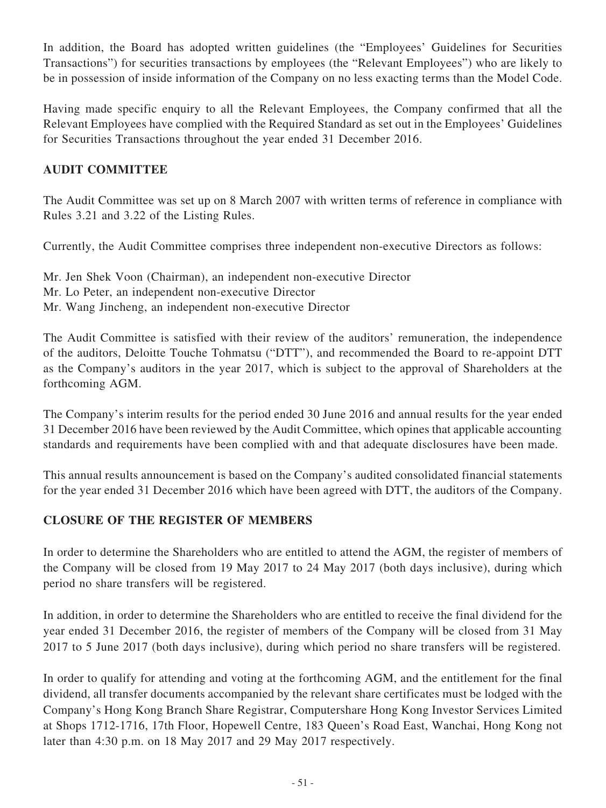In addition, the Board has adopted written guidelines (the "Employees' Guidelines for Securities Transactions") for securities transactions by employees (the "Relevant Employees") who are likely to be in possession of inside information of the Company on no less exacting terms than the Model Code.

Having made specific enquiry to all the Relevant Employees, the Company confirmed that all the Relevant Employees have complied with the Required Standard as set out in the Employees' Guidelines for Securities Transactions throughout the year ended 31 December 2016.

## **AUDIT COMMITTEE**

The Audit Committee was set up on 8 March 2007 with written terms of reference in compliance with Rules 3.21 and 3.22 of the Listing Rules.

Currently, the Audit Committee comprises three independent non-executive Directors as follows:

Mr. Jen Shek Voon (Chairman), an independent non-executive Director Mr. Lo Peter, an independent non-executive Director Mr. Wang Jincheng, an independent non-executive Director

The Audit Committee is satisfied with their review of the auditors' remuneration, the independence of the auditors, Deloitte Touche Tohmatsu ("DTT"), and recommended the Board to re-appoint DTT as the Company's auditors in the year 2017, which is subject to the approval of Shareholders at the forthcoming AGM.

The Company's interim results for the period ended 30 June 2016 and annual results for the year ended 31 December 2016 have been reviewed by the Audit Committee, which opines that applicable accounting standards and requirements have been complied with and that adequate disclosures have been made.

This annual results announcement is based on the Company's audited consolidated financial statements for the year ended 31 December 2016 which have been agreed with DTT, the auditors of the Company.

## **CLOSURE OF THE REGISTER OF MEMBERS**

In order to determine the Shareholders who are entitled to attend the AGM, the register of members of the Company will be closed from 19 May 2017 to 24 May 2017 (both days inclusive), during which period no share transfers will be registered.

In addition, in order to determine the Shareholders who are entitled to receive the final dividend for the year ended 31 December 2016, the register of members of the Company will be closed from 31 May 2017 to 5 June 2017 (both days inclusive), during which period no share transfers will be registered.

In order to qualify for attending and voting at the forthcoming AGM, and the entitlement for the final dividend, all transfer documents accompanied by the relevant share certificates must be lodged with the Company's Hong Kong Branch Share Registrar, Computershare Hong Kong Investor Services Limited at Shops 1712-1716, 17th Floor, Hopewell Centre, 183 Queen's Road East, Wanchai, Hong Kong not later than 4:30 p.m. on 18 May 2017 and 29 May 2017 respectively.